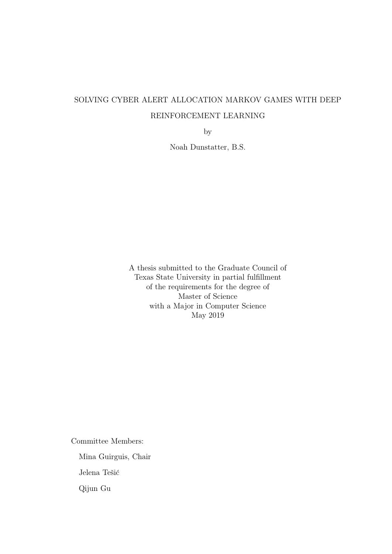# SOLVING CYBER ALERT ALLOCATION MARKOV GAMES WITH DEEP REINFORCEMENT LEARNING

by

Noah Dunstatter, B.S.

A thesis submitted to the Graduate Council of Texas State University in partial fulfillment of the requirements for the degree of Master of Science with a Major in Computer Science May 2019

Committee Members:

Mina Guirguis, Chair Jelena Tešić

Qijun Gu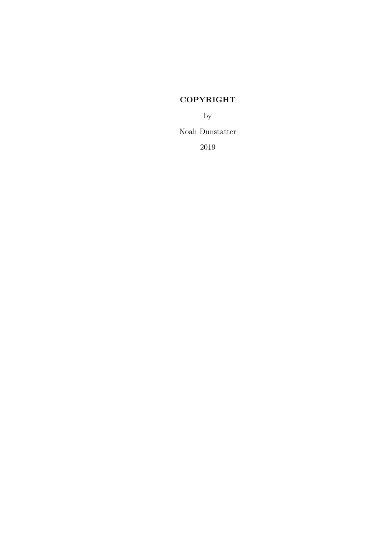## COPYRIGHT

by

Noah Dunstatter

2019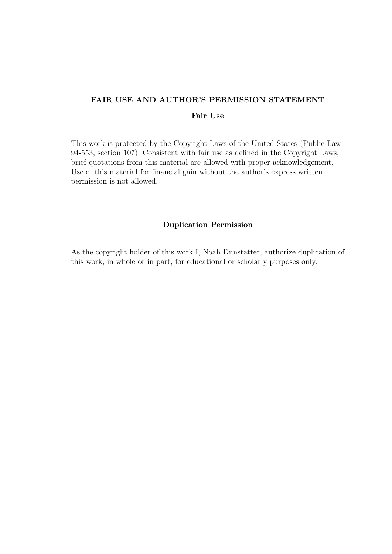## FAIR USE AND AUTHOR'S PERMISSION STATEMENT

## Fair Use

This work is protected by the Copyright Laws of the United States (Public Law 94-553, section 107). Consistent with fair use as defined in the Copyright Laws, brief quotations from this material are allowed with proper acknowledgement. Use of this material for financial gain without the author's express written permission is not allowed.

## Duplication Permission

As the copyright holder of this work I, Noah Dunstatter, authorize duplication of this work, in whole or in part, for educational or scholarly purposes only.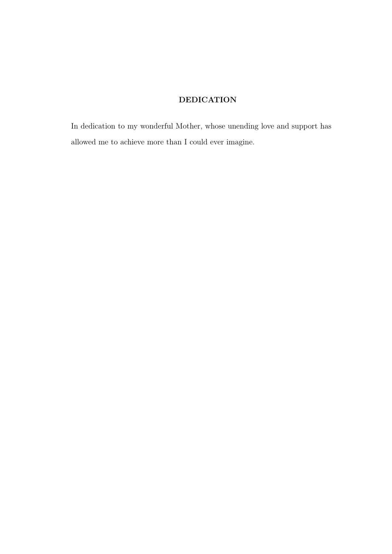## DEDICATION

In dedication to my wonderful Mother, whose unending love and support has allowed me to achieve more than I could ever imagine.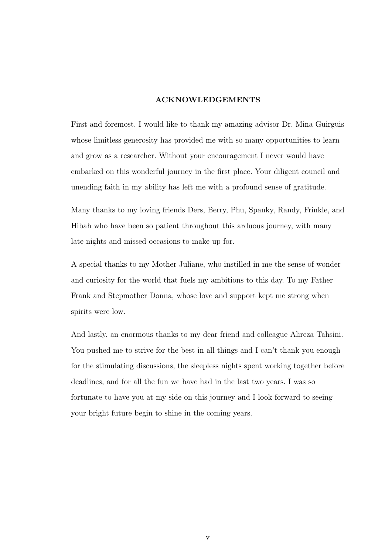#### ACKNOWLEDGEMENTS

First and foremost, I would like to thank my amazing advisor Dr. Mina Guirguis whose limitless generosity has provided me with so many opportunities to learn and grow as a researcher. Without your encouragement I never would have embarked on this wonderful journey in the first place. Your diligent council and unending faith in my ability has left me with a profound sense of gratitude.

Many thanks to my loving friends Ders, Berry, Phu, Spanky, Randy, Frinkle, and Hibah who have been so patient throughout this arduous journey, with many late nights and missed occasions to make up for.

A special thanks to my Mother Juliane, who instilled in me the sense of wonder and curiosity for the world that fuels my ambitions to this day. To my Father Frank and Stepmother Donna, whose love and support kept me strong when spirits were low.

And lastly, an enormous thanks to my dear friend and colleague Alireza Tahsini. You pushed me to strive for the best in all things and I can't thank you enough for the stimulating discussions, the sleepless nights spent working together before deadlines, and for all the fun we have had in the last two years. I was so fortunate to have you at my side on this journey and I look forward to seeing your bright future begin to shine in the coming years.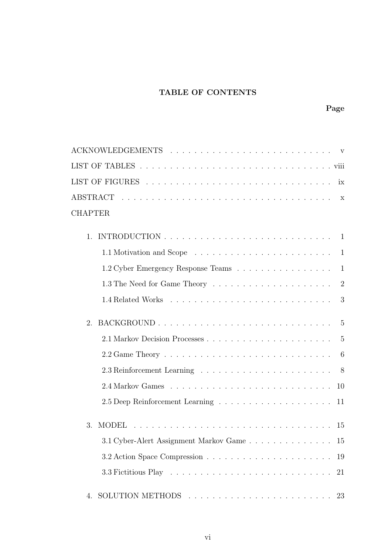## TABLE OF CONTENTS

| <b>CHAPTER</b>                                                                            |    |
|-------------------------------------------------------------------------------------------|----|
| $\mathbf{1}$                                                                              |    |
| 1.1 Motivation and Scope $\ldots \ldots \ldots \ldots \ldots \ldots \ldots \ldots 1$      |    |
| 1.2 Cyber Emergency Response Teams 1                                                      |    |
| 1.3 The Need for Game Theory $\dots \dots \dots \dots \dots \dots \dots \dots$            |    |
| 1.4 Related Works $\ldots \ldots \ldots \ldots \ldots \ldots \ldots \ldots \ldots \ldots$ |    |
| $\mathcal{D}_{\alpha}$                                                                    |    |
|                                                                                           |    |
|                                                                                           | 6  |
| 2.3 Reinforcement Learning $\ldots \ldots \ldots \ldots \ldots \ldots \ldots \ldots$ 8    |    |
|                                                                                           | 10 |
|                                                                                           | 11 |
| 3.                                                                                        | 15 |
| 3.1 Cyber-Alert Assignment Markov Game 15                                                 |    |
|                                                                                           | 19 |
|                                                                                           | 21 |
| 4.                                                                                        | 23 |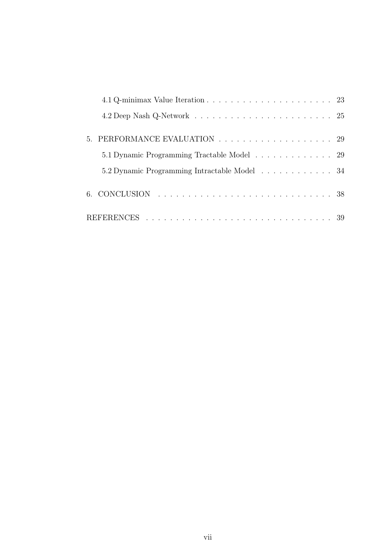| 4.1 Q-minimax Value Iteration $\ldots \ldots \ldots \ldots \ldots \ldots \ldots \ldots$ 23 |  |
|--------------------------------------------------------------------------------------------|--|
|                                                                                            |  |
| 5. PERFORMANCE EVALUATION 29                                                               |  |
| 5.1 Dynamic Programming Tractable Model 29                                                 |  |
| 5.2 Dynamic Programming Intractable Model 34                                               |  |
|                                                                                            |  |
|                                                                                            |  |
|                                                                                            |  |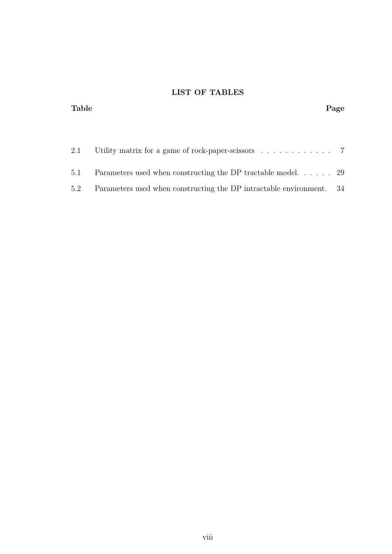## LIST OF TABLES

| <b>Table</b> |                                                                            | Page |
|--------------|----------------------------------------------------------------------------|------|
|              |                                                                            |      |
| 2.1          | Utility matrix for a game of rock-paper-scissors $\dots \dots \dots \dots$ |      |
| 5.1          | Parameters used when constructing the DP tractable model 29                |      |
| 5.2          | Parameters used when constructing the DP intractable environment. 34       |      |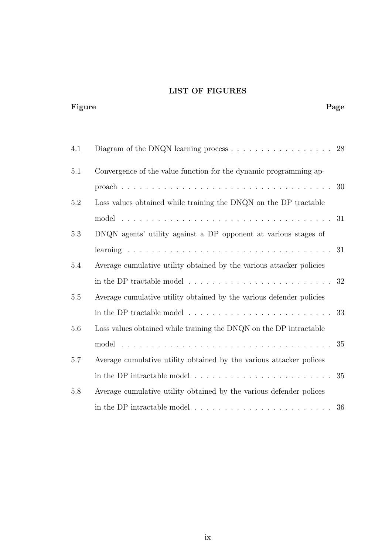## LIST OF FIGURES

Figure Page Page 2014 Page 2014 Page 2014 Page 2014 Page 2014 Page 2014 Page 2014 Page 2014 Page 2014 Page 2014

| 4.1     |                                                                                                 | 28 |
|---------|-------------------------------------------------------------------------------------------------|----|
| 5.1     | Convergence of the value function for the dynamic programming ap-                               |    |
|         |                                                                                                 |    |
| 5.2     | Loss values obtained while training the DNQN on the DP tractable                                |    |
|         |                                                                                                 |    |
| 5.3     | DNQN agents' utility against a DP opponent at various stages of                                 |    |
|         |                                                                                                 |    |
| 5.4     | Average cumulative utility obtained by the various attacker policies                            |    |
|         | in the DP tractable model $\dots \dots \dots \dots \dots \dots \dots \dots \dots \dots$         | 32 |
| 5.5     | Average cumulative utility obtained by the various defender policies                            |    |
|         | in the DP tractable model $\dots \dots \dots \dots \dots \dots \dots \dots \dots \dots$         | 33 |
| 5.6     | Loss values obtained while training the DNQN on the DP intractable                              |    |
|         |                                                                                                 | 35 |
| 5.7     | Average cumulative utility obtained by the various attacker polices                             |    |
|         | in the DP intractable model $\ldots \ldots \ldots \ldots \ldots \ldots \ldots \ldots \ldots 35$ |    |
| $5.8\,$ | Average cumulative utility obtained by the various defender polices                             |    |
|         | in the DP intractable model $\dots \dots \dots \dots \dots \dots \dots \dots \dots$             | 36 |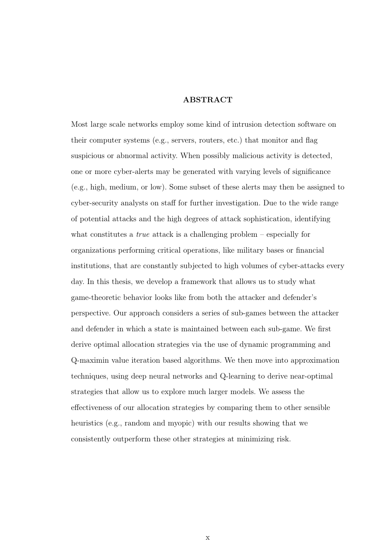#### ABSTRACT

Most large scale networks employ some kind of intrusion detection software on their computer systems (e.g., servers, routers, etc.) that monitor and flag suspicious or abnormal activity. When possibly malicious activity is detected, one or more cyber-alerts may be generated with varying levels of significance (e.g., high, medium, or low). Some subset of these alerts may then be assigned to cyber-security analysts on staff for further investigation. Due to the wide range of potential attacks and the high degrees of attack sophistication, identifying what constitutes a *true* attack is a challenging problem – especially for organizations performing critical operations, like military bases or financial institutions, that are constantly subjected to high volumes of cyber-attacks every day. In this thesis, we develop a framework that allows us to study what game-theoretic behavior looks like from both the attacker and defender's perspective. Our approach considers a series of sub-games between the attacker and defender in which a state is maintained between each sub-game. We first derive optimal allocation strategies via the use of dynamic programming and Q-maximin value iteration based algorithms. We then move into approximation techniques, using deep neural networks and Q-learning to derive near-optimal strategies that allow us to explore much larger models. We assess the effectiveness of our allocation strategies by comparing them to other sensible heuristics (e.g., random and myopic) with our results showing that we consistently outperform these other strategies at minimizing risk.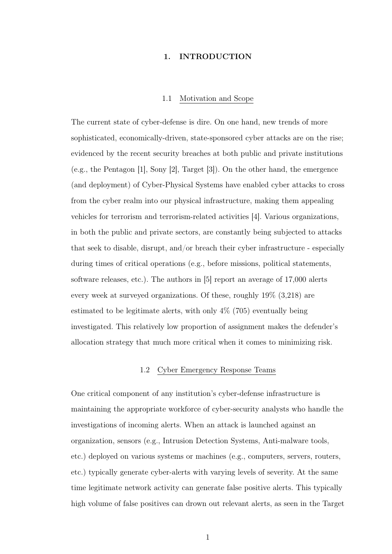#### 1. INTRODUCTION

#### 1.1 Motivation and Scope

The current state of cyber-defense is dire. On one hand, new trends of more sophisticated, economically-driven, state-sponsored cyber attacks are on the rise; evidenced by the recent security breaches at both public and private institutions (e.g., the Pentagon [1], Sony [2], Target [3]). On the other hand, the emergence (and deployment) of Cyber-Physical Systems have enabled cyber attacks to cross from the cyber realm into our physical infrastructure, making them appealing vehicles for terrorism and terrorism-related activities [4]. Various organizations, in both the public and private sectors, are constantly being subjected to attacks that seek to disable, disrupt, and/or breach their cyber infrastructure - especially during times of critical operations (e.g., before missions, political statements, software releases, etc.). The authors in [5] report an average of 17,000 alerts every week at surveyed organizations. Of these, roughly 19% (3,218) are estimated to be legitimate alerts, with only 4% (705) eventually being investigated. This relatively low proportion of assignment makes the defender's allocation strategy that much more critical when it comes to minimizing risk.

## 1.2 Cyber Emergency Response Teams

One critical component of any institution's cyber-defense infrastructure is maintaining the appropriate workforce of cyber-security analysts who handle the investigations of incoming alerts. When an attack is launched against an organization, sensors (e.g., Intrusion Detection Systems, Anti-malware tools, etc.) deployed on various systems or machines (e.g., computers, servers, routers, etc.) typically generate cyber-alerts with varying levels of severity. At the same time legitimate network activity can generate false positive alerts. This typically high volume of false positives can drown out relevant alerts, as seen in the Target

1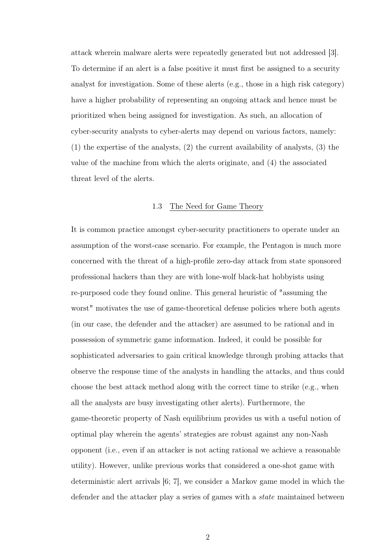attack wherein malware alerts were repeatedly generated but not addressed [3]. To determine if an alert is a false positive it must first be assigned to a security analyst for investigation. Some of these alerts (e.g., those in a high risk category) have a higher probability of representing an ongoing attack and hence must be prioritized when being assigned for investigation. As such, an allocation of cyber-security analysts to cyber-alerts may depend on various factors, namely: (1) the expertise of the analysts, (2) the current availability of analysts, (3) the value of the machine from which the alerts originate, and (4) the associated threat level of the alerts.

## 1.3 The Need for Game Theory

It is common practice amongst cyber-security practitioners to operate under an assumption of the worst-case scenario. For example, the Pentagon is much more concerned with the threat of a high-profile zero-day attack from state sponsored professional hackers than they are with lone-wolf black-hat hobbyists using re-purposed code they found online. This general heuristic of "assuming the worst" motivates the use of game-theoretical defense policies where both agents (in our case, the defender and the attacker) are assumed to be rational and in possession of symmetric game information. Indeed, it could be possible for sophisticated adversaries to gain critical knowledge through probing attacks that observe the response time of the analysts in handling the attacks, and thus could choose the best attack method along with the correct time to strike (e.g., when all the analysts are busy investigating other alerts). Furthermore, the game-theoretic property of Nash equilibrium provides us with a useful notion of optimal play wherein the agents' strategies are robust against any non-Nash opponent (i.e., even if an attacker is not acting rational we achieve a reasonable utility). However, unlike previous works that considered a one-shot game with deterministic alert arrivals [6; 7], we consider a Markov game model in which the defender and the attacker play a series of games with a state maintained between

2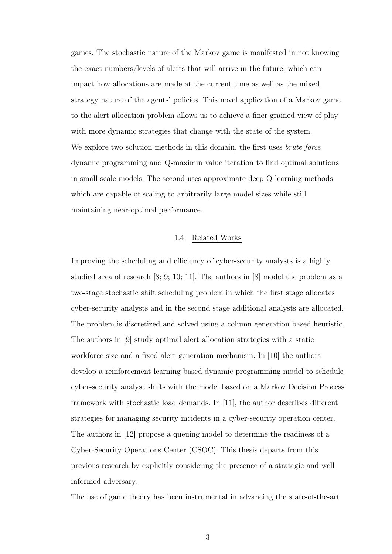games. The stochastic nature of the Markov game is manifested in not knowing the exact numbers/levels of alerts that will arrive in the future, which can impact how allocations are made at the current time as well as the mixed strategy nature of the agents' policies. This novel application of a Markov game to the alert allocation problem allows us to achieve a finer grained view of play with more dynamic strategies that change with the state of the system. We explore two solution methods in this domain, the first uses *brute force* dynamic programming and Q-maximin value iteration to find optimal solutions in small-scale models. The second uses approximate deep Q-learning methods which are capable of scaling to arbitrarily large model sizes while still maintaining near-optimal performance.

#### 1.4 Related Works

Improving the scheduling and efficiency of cyber-security analysts is a highly studied area of research [8; 9; 10; 11]. The authors in [8] model the problem as a two-stage stochastic shift scheduling problem in which the first stage allocates cyber-security analysts and in the second stage additional analysts are allocated. The problem is discretized and solved using a column generation based heuristic. The authors in [9] study optimal alert allocation strategies with a static workforce size and a fixed alert generation mechanism. In [10] the authors develop a reinforcement learning-based dynamic programming model to schedule cyber-security analyst shifts with the model based on a Markov Decision Process framework with stochastic load demands. In [11], the author describes different strategies for managing security incidents in a cyber-security operation center. The authors in [12] propose a queuing model to determine the readiness of a Cyber-Security Operations Center (CSOC). This thesis departs from this previous research by explicitly considering the presence of a strategic and well informed adversary.

The use of game theory has been instrumental in advancing the state-of-the-art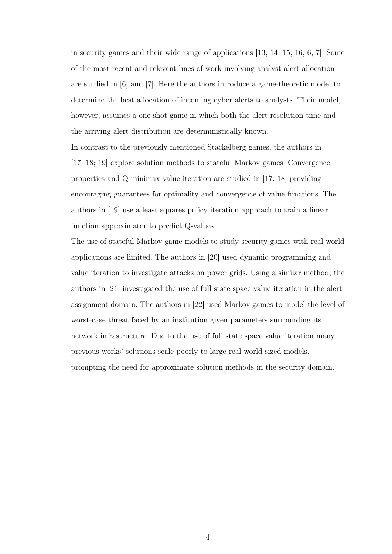in security games and their wide range of applications [13; 14; 15; 16; 6; 7]. Some of the most recent and relevant lines of work involving analyst alert allocation are studied in [6] and [7]. Here the authors introduce a game-theoretic model to determine the best allocation of incoming cyber alerts to analysts. Their model, however, assumes a one shot-game in which both the alert resolution time and the arriving alert distribution are deterministically known.

In contrast to the previously mentioned Stackelberg games, the authors in [17; 18; 19] explore solution methods to stateful Markov games. Convergence properties and Q-minimax value iteration are studied in [17; 18] providing encouraging guarantees for optimality and convergence of value functions. The authors in [19] use a least squares policy iteration approach to train a linear function approximator to predict Q-values.

The use of stateful Markov game models to study security games with real-world applications are limited. The authors in [20] used dynamic programming and value iteration to investigate attacks on power grids. Using a similar method, the authors in [21] investigated the use of full state space value iteration in the alert assignment domain. The authors in [22] used Markov games to model the level of worst-case threat faced by an institution given parameters surrounding its network infrastructure. Due to the use of full state space value iteration many previous works' solutions scale poorly to large real-world sized models, prompting the need for approximate solution methods in the security domain.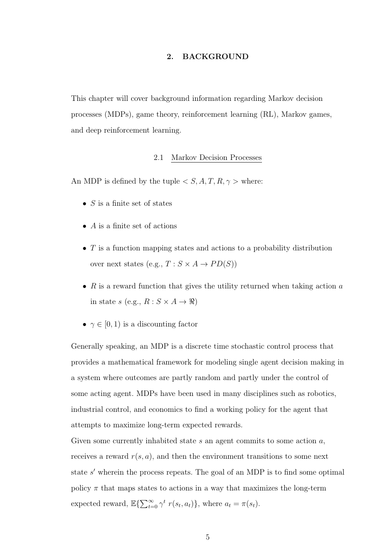## 2. BACKGROUND

This chapter will cover background information regarding Markov decision processes (MDPs), game theory, reinforcement learning (RL), Markov games, and deep reinforcement learning.

## 2.1 Markov Decision Processes

An MDP is defined by the tuple  $\langle S, A, T, R, \gamma \rangle$  where:

- $S$  is a finite set of states
- $\bullet$  A is a finite set of actions
- $T$  is a function mapping states and actions to a probability distribution over next states (e.g.,  $T : S \times A \rightarrow PD(S)$ )
- $R$  is a reward function that gives the utility returned when taking action  $a$ in state s (e.g.,  $R: S \times A \rightarrow \Re$ )
- $\gamma \in [0, 1)$  is a discounting factor

Generally speaking, an MDP is a discrete time stochastic control process that provides a mathematical framework for modeling single agent decision making in a system where outcomes are partly random and partly under the control of some acting agent. MDPs have been used in many disciplines such as robotics, industrial control, and economics to find a working policy for the agent that attempts to maximize long-term expected rewards.

Given some currently inhabited state s an agent commits to some action  $a$ , receives a reward  $r(s, a)$ , and then the environment transitions to some next state  $s'$  wherein the process repeats. The goal of an MDP is to find some optimal policy  $\pi$  that maps states to actions in a way that maximizes the long-term expected reward,  $\mathbb{E}\left\{\sum_{t=0}^{\infty} \gamma^t r(s_t, a_t)\right\}$ , where  $a_t = \pi(s_t)$ .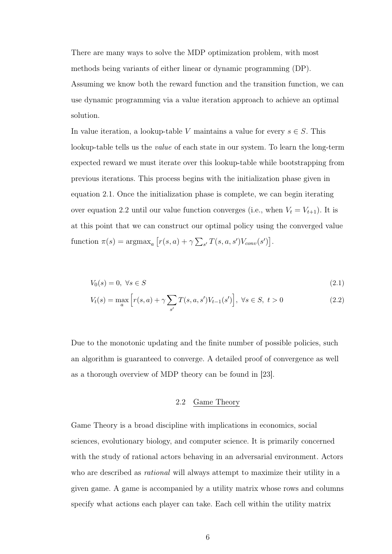There are many ways to solve the MDP optimization problem, with most methods being variants of either linear or dynamic programming (DP). Assuming we know both the reward function and the transition function, we can use dynamic programming via a value iteration approach to achieve an optimal solution.

In value iteration, a lookup-table V maintains a value for every  $s \in S$ . This lookup-table tells us the value of each state in our system. To learn the long-term expected reward we must iterate over this lookup-table while bootstrapping from previous iterations. This process begins with the initialization phase given in equation 2.1. Once the initialization phase is complete, we can begin iterating over equation 2.2 until our value function converges (i.e., when  $V_t = V_{t+1}$ ). It is at this point that we can construct our optimal policy using the converged value function  $\pi(s) = \operatorname{argmax}_a [r(s, a) + \gamma \sum_{s'} T(s, a, s') V_{conv}(s')]$ .

$$
V_0(s) = 0, \ \forall s \in S \tag{2.1}
$$

$$
V_t(s) = \max_{a} \left[ r(s, a) + \gamma \sum_{s'} T(s, a, s') V_{t-1}(s') \right], \ \forall s \in S, \ t > 0 \tag{2.2}
$$

Due to the monotonic updating and the finite number of possible policies, such an algorithm is guaranteed to converge. A detailed proof of convergence as well as a thorough overview of MDP theory can be found in [23].

### 2.2 Game Theory

Game Theory is a broad discipline with implications in economics, social sciences, evolutionary biology, and computer science. It is primarily concerned with the study of rational actors behaving in an adversarial environment. Actors who are described as *rational* will always attempt to maximize their utility in a given game. A game is accompanied by a utility matrix whose rows and columns specify what actions each player can take. Each cell within the utility matrix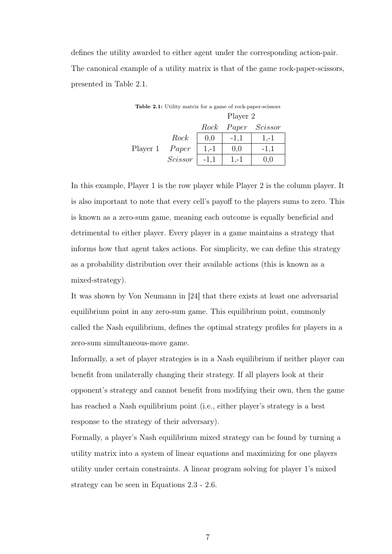defines the utility awarded to either agent under the corresponding action-pair. The canonical example of a utility matrix is that of the game rock-paper-scissors, presented in Table 2.1.

| <b>Table 2.1:</b> Utility matrix for a game of rock-paper-scissors |         |        |          |               |
|--------------------------------------------------------------------|---------|--------|----------|---------------|
|                                                                    |         |        | Player 2 |               |
|                                                                    |         | Rock   |          | Paper Scissor |
|                                                                    | Rock    | 0,0    | $-1,1$   | $1,-1$        |
| Player 1                                                           | Paper   | $1,-1$ | 0,0      | $-1,1$        |
|                                                                    | Scissor | $-1,1$ | $1,-1$   |               |

In this example, Player 1 is the row player while Player 2 is the column player. It is also important to note that every cell's payoff to the players sums to zero. This is known as a zero-sum game, meaning each outcome is equally beneficial and detrimental to either player. Every player in a game maintains a strategy that informs how that agent takes actions. For simplicity, we can define this strategy as a probability distribution over their available actions (this is known as a mixed-strategy).

It was shown by Von Neumann in [24] that there exists at least one adversarial equilibrium point in any zero-sum game. This equilibrium point, commonly called the Nash equilibrium, defines the optimal strategy profiles for players in a zero-sum simultaneous-move game.

Informally, a set of player strategies is in a Nash equilibrium if neither player can benefit from unilaterally changing their strategy. If all players look at their opponent's strategy and cannot benefit from modifying their own, then the game has reached a Nash equilibrium point (i.e., either player's strategy is a best response to the strategy of their adversary).

Formally, a player's Nash equilibrium mixed strategy can be found by turning a utility matrix into a system of linear equations and maximizing for one players utility under certain constraints. A linear program solving for player 1's mixed strategy can be seen in Equations 2.3 - 2.6.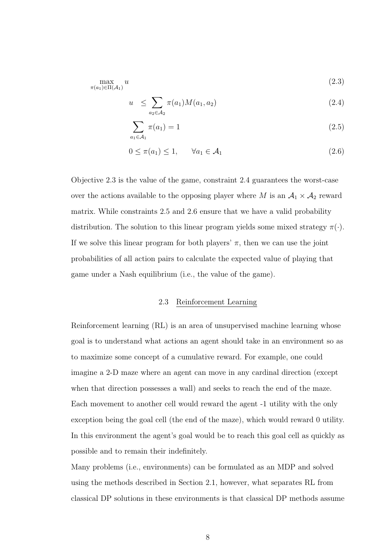$$
\max_{\pi(a_1)\in\Pi(\mathcal{A}_1)} u \tag{2.3}
$$

$$
u \leq \sum_{a_2 \in A_2} \pi(a_1) M(a_1, a_2) \tag{2.4}
$$

$$
\sum_{a_1 \in \mathcal{A}_1} \pi(a_1) = 1 \tag{2.5}
$$

$$
0 \le \pi(a_1) \le 1, \qquad \forall a_1 \in \mathcal{A}_1 \tag{2.6}
$$

Objective 2.3 is the value of the game, constraint 2.4 guarantees the worst-case over the actions available to the opposing player where M is an  $A_1 \times A_2$  reward matrix. While constraints 2.5 and 2.6 ensure that we have a valid probability distribution. The solution to this linear program yields some mixed strategy  $\pi(\cdot)$ . If we solve this linear program for both players'  $\pi$ , then we can use the joint probabilities of all action pairs to calculate the expected value of playing that game under a Nash equilibrium (i.e., the value of the game).

## 2.3 Reinforcement Learning

Reinforcement learning (RL) is an area of unsupervised machine learning whose goal is to understand what actions an agent should take in an environment so as to maximize some concept of a cumulative reward. For example, one could imagine a 2-D maze where an agent can move in any cardinal direction (except when that direction possesses a wall) and seeks to reach the end of the maze. Each movement to another cell would reward the agent -1 utility with the only exception being the goal cell (the end of the maze), which would reward 0 utility. In this environment the agent's goal would be to reach this goal cell as quickly as possible and to remain their indefinitely.

Many problems (i.e., environments) can be formulated as an MDP and solved using the methods described in Section 2.1, however, what separates RL from classical DP solutions in these environments is that classical DP methods assume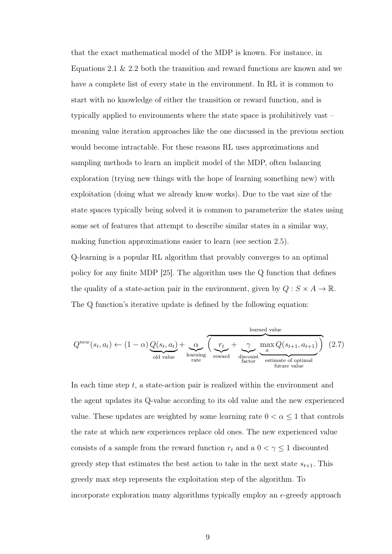that the exact mathematical model of the MDP is known. For instance, in Equations 2.1  $\&$  2.2 both the transition and reward functions are known and we have a complete list of every state in the environment. In RL it is common to start with no knowledge of either the transition or reward function, and is typically applied to environments where the state space is prohibitively vast – meaning value iteration approaches like the one discussed in the previous section would become intractable. For these reasons RL uses approximations and sampling methods to learn an implicit model of the MDP, often balancing exploration (trying new things with the hope of learning something new) with exploitation (doing what we already know works). Due to the vast size of the state spaces typically being solved it is common to parameterize the states using some set of features that attempt to describe similar states in a similar way, making function approximations easier to learn (see section 2.5).

Q-learning is a popular RL algorithm that provably converges to an optimal policy for any finite MDP [25]. The algorithm uses the Q function that defines the quality of a state-action pair in the environment, given by  $Q : S \times A \to \mathbb{R}$ . The Q function's iterative update is defined by the following equation:

$$
Q^{new}(s_t, a_t) \leftarrow (1 - \alpha) Q(s_t, a_t) + \underbrace{\alpha}_{\text{old value}} \underbrace{\left(\underbrace{r_t}_{\text{learning}} + \underbrace{\gamma}_{\text{reward}} \underbrace{\max_{a} Q(s_{t+1}, a_{t+1})}_{\text{factor}}\right)}_{\text{feature value}} (2.7)
$$

In each time step  $t$ , a state-action pair is realized within the environment and the agent updates its Q-value according to its old value and the new experienced value. These updates are weighted by some learning rate  $0 < \alpha \leq 1$  that controls the rate at which new experiences replace old ones. The new experienced value consists of a sample from the reward function  $r_t$  and a  $0 < \gamma \leq 1$  discounted greedy step that estimates the best action to take in the next state  $s_{t+1}$ . This greedy max step represents the exploitation step of the algorithm. To incorporate exploration many algorithms typically employ an  $\epsilon$ -greedy approach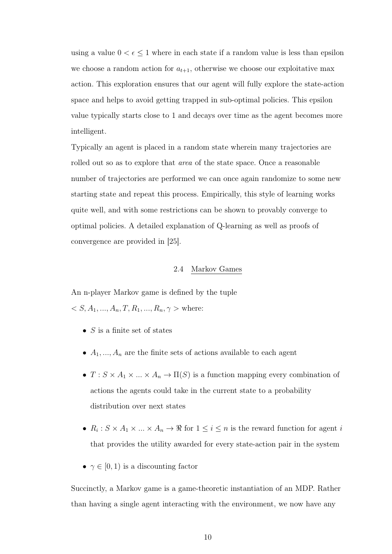using a value  $0 < \epsilon \leq 1$  where in each state if a random value is less than epsilon we choose a random action for  $a_{t+1}$ , otherwise we choose our exploitative max action. This exploration ensures that our agent will fully explore the state-action space and helps to avoid getting trapped in sub-optimal policies. This epsilon value typically starts close to 1 and decays over time as the agent becomes more intelligent.

Typically an agent is placed in a random state wherein many trajectories are rolled out so as to explore that area of the state space. Once a reasonable number of trajectories are performed we can once again randomize to some new starting state and repeat this process. Empirically, this style of learning works quite well, and with some restrictions can be shown to provably converge to optimal policies. A detailed explanation of Q-learning as well as proofs of convergence are provided in [25].

## 2.4 Markov Games

An n-player Markov game is defined by the tuple  $S, A_1, ..., A_n, T, R_1, ..., R_n, \gamma$  > where:

- $S$  is a finite set of states
- $A_1, \ldots, A_n$  are the finite sets of actions available to each agent
- $T : S \times A_1 \times ... \times A_n \to \Pi(S)$  is a function mapping every combination of actions the agents could take in the current state to a probability distribution over next states
- $R_i: S \times A_1 \times ... \times A_n \to \Re$  for  $1 \leq i \leq n$  is the reward function for agent i that provides the utility awarded for every state-action pair in the system
- $\gamma \in [0, 1)$  is a discounting factor

Succinctly, a Markov game is a game-theoretic instantiation of an MDP. Rather than having a single agent interacting with the environment, we now have any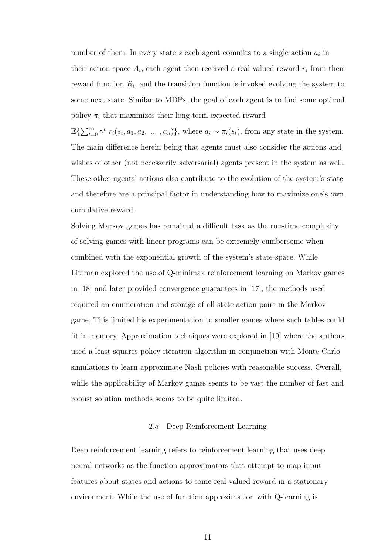number of them. In every state  $s$  each agent commits to a single action  $a_i$  in their action space  $A_i$ , each agent then received a real-valued reward  $r_i$  from their reward function  $R_i$ , and the transition function is invoked evolving the system to some next state. Similar to MDPs, the goal of each agent is to find some optimal policy  $\pi_i$  that maximizes their long-term expected reward

 $\mathbb{E}\left\{\sum_{t=0}^{\infty} \gamma^t r_i(s_t, a_1, a_2, \ldots, a_n)\right\}$ , where  $a_i \sim \pi_i(s_i)$ , from any state in the system. The main difference herein being that agents must also consider the actions and wishes of other (not necessarily adversarial) agents present in the system as well. These other agents' actions also contribute to the evolution of the system's state and therefore are a principal factor in understanding how to maximize one's own cumulative reward.

Solving Markov games has remained a difficult task as the run-time complexity of solving games with linear programs can be extremely cumbersome when combined with the exponential growth of the system's state-space. While Littman explored the use of Q-minimax reinforcement learning on Markov games in [18] and later provided convergence guarantees in [17], the methods used required an enumeration and storage of all state-action pairs in the Markov game. This limited his experimentation to smaller games where such tables could fit in memory. Approximation techniques were explored in [19] where the authors used a least squares policy iteration algorithm in conjunction with Monte Carlo simulations to learn approximate Nash policies with reasonable success. Overall, while the applicability of Markov games seems to be vast the number of fast and robust solution methods seems to be quite limited.

#### 2.5 Deep Reinforcement Learning

Deep reinforcement learning refers to reinforcement learning that uses deep neural networks as the function approximators that attempt to map input features about states and actions to some real valued reward in a stationary environment. While the use of function approximation with Q-learning is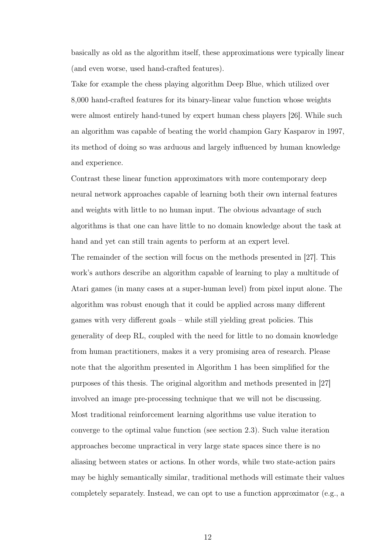basically as old as the algorithm itself, these approximations were typically linear (and even worse, used hand-crafted features).

Take for example the chess playing algorithm Deep Blue, which utilized over 8,000 hand-crafted features for its binary-linear value function whose weights were almost entirely hand-tuned by expert human chess players [26]. While such an algorithm was capable of beating the world champion Gary Kasparov in 1997, its method of doing so was arduous and largely influenced by human knowledge and experience.

Contrast these linear function approximators with more contemporary deep neural network approaches capable of learning both their own internal features and weights with little to no human input. The obvious advantage of such algorithms is that one can have little to no domain knowledge about the task at hand and yet can still train agents to perform at an expert level.

The remainder of the section will focus on the methods presented in [27]. This work's authors describe an algorithm capable of learning to play a multitude of Atari games (in many cases at a super-human level) from pixel input alone. The algorithm was robust enough that it could be applied across many different games with very different goals – while still yielding great policies. This generality of deep RL, coupled with the need for little to no domain knowledge from human practitioners, makes it a very promising area of research. Please note that the algorithm presented in Algorithm 1 has been simplified for the purposes of this thesis. The original algorithm and methods presented in [27] involved an image pre-processing technique that we will not be discussing. Most traditional reinforcement learning algorithms use value iteration to converge to the optimal value function (see section 2.3). Such value iteration approaches become unpractical in very large state spaces since there is no aliasing between states or actions. In other words, while two state-action pairs may be highly semantically similar, traditional methods will estimate their values completely separately. Instead, we can opt to use a function approximator (e.g., a

12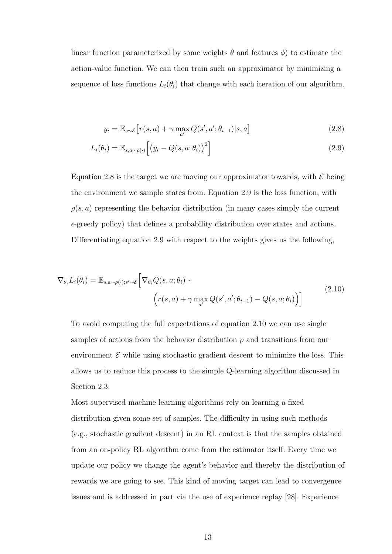linear function parameterized by some weights  $\theta$  and features  $\phi$ ) to estimate the action-value function. We can then train such an approximator by minimizing a sequence of loss functions  $L_i(\theta_i)$  that change with each iteration of our algorithm.

$$
y_i = \mathbb{E}_{s \sim \mathcal{E}} \left[ r(s, a) + \gamma \max_{a'} Q(s', a'; \theta_{i-1}) | s, a \right]
$$
 (2.8)

$$
L_i(\theta_i) = \mathbb{E}_{s, a \sim \rho(\cdot)} \left[ \left( y_i - Q(s, a; \theta_i) \right)^2 \right]
$$
\n(2.9)

Equation 2.8 is the target we are moving our approximator towards, with  $\mathcal E$  being the environment we sample states from. Equation 2.9 is the loss function, with  $\rho(s, a)$  representing the behavior distribution (in many cases simply the current  $\epsilon$ -greedy policy) that defines a probability distribution over states and actions. Differentiating equation 2.9 with respect to the weights gives us the following,

$$
\nabla_{\theta_i} L_i(\theta_i) = \mathbb{E}_{s, a \sim \rho(\cdot); s' \sim \mathcal{E}} \Big[ \nabla_{\theta_i} Q(s, a; \theta_i) \cdot \Big( r(s, a) + \gamma \max_{a'} Q(s', a'; \theta_{i-1}) - Q(s, a; \theta_i) \Big) \Big] \tag{2.10}
$$

To avoid computing the full expectations of equation 2.10 we can use single samples of actions from the behavior distribution  $\rho$  and transitions from our environment  $\mathcal E$  while using stochastic gradient descent to minimize the loss. This allows us to reduce this process to the simple Q-learning algorithm discussed in Section 2.3.

Most supervised machine learning algorithms rely on learning a fixed distribution given some set of samples. The difficulty in using such methods (e.g., stochastic gradient descent) in an RL context is that the samples obtained from an on-policy RL algorithm come from the estimator itself. Every time we update our policy we change the agent's behavior and thereby the distribution of rewards we are going to see. This kind of moving target can lead to convergence issues and is addressed in part via the use of experience replay [28]. Experience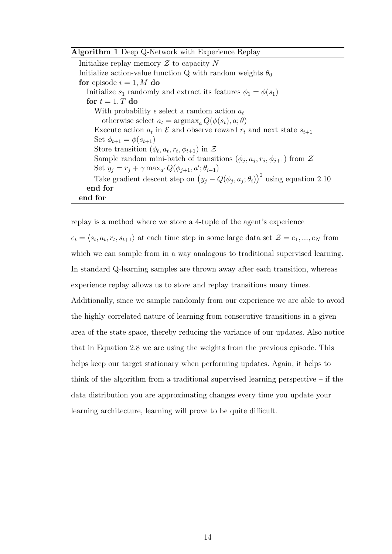#### Algorithm 1 Deep Q-Network with Experience Replay

Initialize replay memory  $\mathcal Z$  to capacity N Initialize action-value function Q with random weights  $\theta_0$ for episode  $i = 1, M$  do Initialize  $s_1$  randomly and extract its features  $\phi_1 = \phi(s_1)$ for  $t = 1, T$  do With probability  $\epsilon$  select a random action  $a_t$ otherwise select  $a_t = \argmax_a Q(\phi(s_t), a; \theta)$ Execute action  $a_t$  in  $\mathcal E$  and observe reward  $r_t$  and next state  $s_{t+1}$ Set  $\phi_{t+1} = \phi(s_{t+1})$ Store transition  $(\phi_t, a_t, r_t, \phi_{t+1})$  in  $\mathcal{Z}$ Sample random mini-batch of transitions  $(\phi_j, a_j, r_j, \phi_{j+1})$  from  $\mathcal Z$ Set  $y_j = r_j + \gamma \max_{a'} Q(\phi_{j+1}, a'; \theta_{i-1})$ Take gradient descent step on  $(y_j - Q(\phi_j, a_j; \theta_i))^2$  using equation 2.10 end for end for

replay is a method where we store a 4-tuple of the agent's experience  $e_t = \langle s_t, a_t, r_t, s_{t+1} \rangle$  at each time step in some large data set  $\mathcal{Z} = e_1, ..., e_N$  from which we can sample from in a way analogous to traditional supervised learning. In standard Q-learning samples are thrown away after each transition, whereas experience replay allows us to store and replay transitions many times. Additionally, since we sample randomly from our experience we are able to avoid the highly correlated nature of learning from consecutive transitions in a given area of the state space, thereby reducing the variance of our updates. Also notice that in Equation 2.8 we are using the weights from the previous episode. This helps keep our target stationary when performing updates. Again, it helps to think of the algorithm from a traditional supervised learning perspective  $-$  if the data distribution you are approximating changes every time you update your learning architecture, learning will prove to be quite difficult.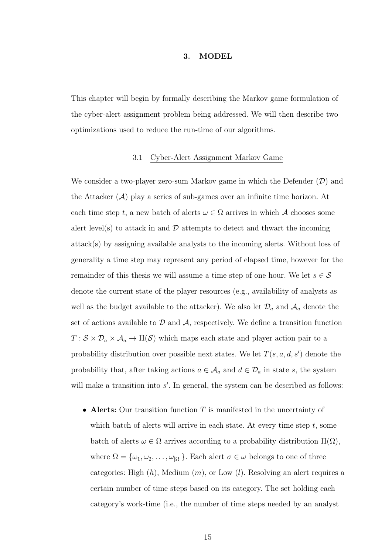#### 3. MODEL

This chapter will begin by formally describing the Markov game formulation of the cyber-alert assignment problem being addressed. We will then describe two optimizations used to reduce the run-time of our algorithms.

#### 3.1 Cyber-Alert Assignment Markov Game

We consider a two-player zero-sum Markov game in which the Defender  $(D)$  and the Attacker  $(\mathcal{A})$  play a series of sub-games over an infinite time horizon. At each time step t, a new batch of alerts  $\omega \in \Omega$  arrives in which A chooses some alert level(s) to attack in and  $\mathcal D$  attempts to detect and thwart the incoming attack(s) by assigning available analysts to the incoming alerts. Without loss of generality a time step may represent any period of elapsed time, however for the remainder of this thesis we will assume a time step of one hour. We let  $s \in \mathcal{S}$ denote the current state of the player resources (e.g., availability of analysts as well as the budget available to the attacker). We also let  $\mathcal{D}_a$  and  $\mathcal{A}_a$  denote the set of actions available to  $D$  and  $A$ , respectively. We define a transition function  $T : S \times \mathcal{D}_a \times \mathcal{A}_a \to \Pi(S)$  which maps each state and player action pair to a probability distribution over possible next states. We let  $T(s, a, d, s')$  denote the probability that, after taking actions  $a \in \mathcal{A}_a$  and  $d \in \mathcal{D}_a$  in state s, the system will make a transition into  $s'$ . In general, the system can be described as follows:

• Alerts: Our transition function  $T$  is manifested in the uncertainty of which batch of alerts will arrive in each state. At every time step  $t$ , some batch of alerts  $\omega \in \Omega$  arrives according to a probability distribution  $\Pi(\Omega)$ , where  $\Omega = {\omega_1, \omega_2, \ldots, \omega_{|\Omega|}}$ . Each alert  $\sigma \in \omega$  belongs to one of three categories: High  $(h)$ , Medium  $(m)$ , or Low  $(l)$ . Resolving an alert requires a certain number of time steps based on its category. The set holding each category's work-time (i.e., the number of time steps needed by an analyst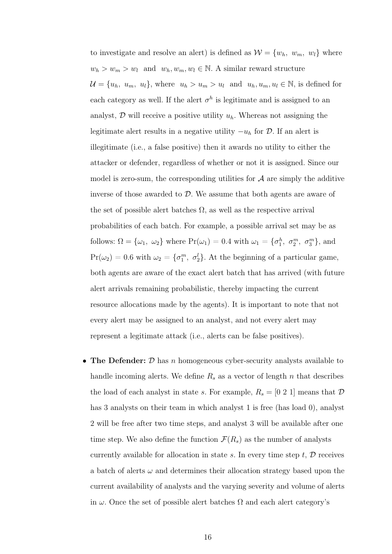to investigate and resolve an alert) is defined as  $\mathcal{W} = \{w_h, w_m, w_l\}$  where  $w_h > w_m > w_l$  and  $w_h, w_m, w_l \in \mathbb{N}$ . A similar reward structure  $\mathcal{U} = \{u_h, u_m, u_l\}$ , where  $u_h > u_m > u_l$  and  $u_h, u_m, u_l \in \mathbb{N}$ , is defined for each category as well. If the alert  $\sigma^h$  is legitimate and is assigned to an analyst,  $\mathcal D$  will receive a positive utility  $u_h$ . Whereas not assigning the legitimate alert results in a negative utility  $-u_h$  for  $\mathcal D$ . If an alert is illegitimate (i.e., a false positive) then it awards no utility to either the attacker or defender, regardless of whether or not it is assigned. Since our model is zero-sum, the corresponding utilities for  $A$  are simply the additive inverse of those awarded to  $D$ . We assume that both agents are aware of the set of possible alert batches  $\Omega$ , as well as the respective arrival probabilities of each batch. For example, a possible arrival set may be as follows:  $\Omega = \{\omega_1, \omega_2\}$  where  $Pr(\omega_1) = 0.4$  with  $\omega_1 = \{\sigma_1^h, \sigma_2^m, \sigma_3^m\}$ , and  $Pr(\omega_2) = 0.6$  with  $\omega_2 = \{\sigma_1^m, \sigma_2^l\}$ . At the beginning of a particular game, both agents are aware of the exact alert batch that has arrived (with future alert arrivals remaining probabilistic, thereby impacting the current resource allocations made by the agents). It is important to note that not every alert may be assigned to an analyst, and not every alert may represent a legitimate attack (i.e., alerts can be false positives).

• The Defender:  $D$  has n homogeneous cyber-security analysts available to handle incoming alerts. We define  $R_s$  as a vector of length n that describes the load of each analyst in state s. For example,  $R_s = [0 2 1]$  means that  $D$ has 3 analysts on their team in which analyst 1 is free (has load 0), analyst 2 will be free after two time steps, and analyst 3 will be available after one time step. We also define the function  $\mathcal{F}(R_s)$  as the number of analysts currently available for allocation in state s. In every time step  $t, \mathcal{D}$  receives a batch of alerts  $\omega$  and determines their allocation strategy based upon the current availability of analysts and the varying severity and volume of alerts in  $\omega$ . Once the set of possible alert batches  $\Omega$  and each alert category's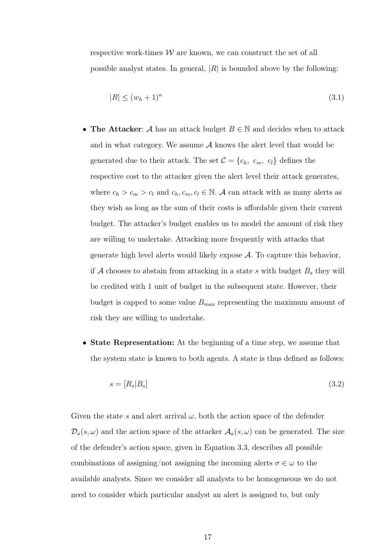respective work-times  $W$  are known, we can construct the set of all possible analyst states. In general,  $|R|$  is bounded above by the following:

$$
|R| \le (w_h + 1)^n \tag{3.1}
$$

- The Attacker: A has an attack budget  $B \in \mathbb{N}$  and decides when to attack and in what category. We assume  $A$  knows the alert level that would be generated due to their attack. The set  $C = \{c_h, c_m, c_l\}$  defines the respective cost to the attacker given the alert level their attack generates, where  $c_h > c_m > c_l$  and  $c_h, c_m, c_l \in \mathbb{N}$ . A can attack with as many alerts as they wish as long as the sum of their costs is affordable given their current budget. The attacker's budget enables us to model the amount of risk they are willing to undertake. Attacking more frequently with attacks that generate high level alerts would likely expose  $A$ . To capture this behavior, if A chooses to abstain from attacking in a state s with budget  $B_s$  they will be credited with 1 unit of budget in the subsequent state. However, their budget is capped to some value  $B_{max}$  representing the maximum amount of risk they are willing to undertake.
- State Representation: At the beginning of a time step, we assume that the system state is known to both agents. A state is thus defined as follows:

$$
s = [R_s | B_s] \tag{3.2}
$$

Given the state s and alert arrival  $\omega$ , both the action space of the defender  $\mathcal{D}_a(s,\omega)$  and the action space of the attacker  $\mathcal{A}_a(s,\omega)$  can be generated. The size of the defender's action space, given in Equation 3.3, describes all possible combinations of assigning/not assigning the incoming alerts  $\sigma \in \omega$  to the available analysts. Since we consider all analysts to be homogeneous we do not need to consider which particular analyst an alert is assigned to, but only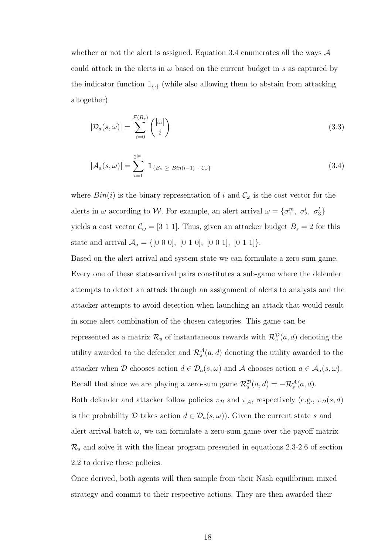whether or not the alert is assigned. Equation 3.4 enumerates all the ways  $\mathcal A$ could attack in the alerts in  $\omega$  based on the current budget in s as captured by the indicator function  $\mathbb{1}_{\{.\}}$  (while also allowing them to abstain from attacking altogether)

$$
|\mathcal{D}_a(s,\omega)| = \sum_{i=0}^{\mathcal{F}(R_s)} {\binom{|\omega|}{i}}
$$
\n(3.3)

$$
|\mathcal{A}_a(s,\omega)| = \sum_{i=1}^{2^{|\omega|}} \mathbb{1}_{\{B_s \ge Bin(i-1) \cdot \mathcal{C}_\omega\}} \tag{3.4}
$$

where  $Bin(i)$  is the binary representation of i and  $\mathcal{C}_{\omega}$  is the cost vector for the alerts in  $\omega$  according to W. For example, an alert arrival  $\omega = \{\sigma_1^m, \sigma_2^l, \sigma_3^l\}$ yields a cost vector  $\mathcal{C}_{\omega} = [3 \; 1 \; 1]$ . Thus, given an attacker budget  $B_s = 2$  for this state and arrival  $A_a = \{[0\ 0\ 0], [0\ 1\ 0], [0\ 0\ 1], [0\ 1\ 1]\}.$ 

Based on the alert arrival and system state we can formulate a zero-sum game. Every one of these state-arrival pairs constitutes a sub-game where the defender attempts to detect an attack through an assignment of alerts to analysts and the attacker attempts to avoid detection when launching an attack that would result in some alert combination of the chosen categories. This game can be represented as a matrix  $\mathcal{R}_s$  of instantaneous rewards with  $\mathcal{R}_s^{\mathcal{D}}(a, d)$  denoting the utility awarded to the defender and  $\mathcal{R}_s^{\mathcal{A}}(a, d)$  denoting the utility awarded to the attacker when D chooses action  $d \in \mathcal{D}_a(s, \omega)$  and A chooses action  $a \in \mathcal{A}_a(s, \omega)$ . Recall that since we are playing a zero-sum game  $\mathcal{R}_s^{\mathcal{D}}(a, d) = -\mathcal{R}_s^{\mathcal{A}}(a, d)$ . Both defender and attacker follow policies  $\pi_{\mathcal{D}}$  and  $\pi_{\mathcal{A}}$ , respectively (e.g.,  $\pi_{\mathcal{D}}(s, d)$ is the probability D takes action  $d \in \mathcal{D}_a(s, \omega)$ . Given the current state s and

 $\mathcal{R}_s$  and solve it with the linear program presented in equations 2.3-2.6 of section 2.2 to derive these policies.

alert arrival batch  $\omega$ , we can formulate a zero-sum game over the payoff matrix

Once derived, both agents will then sample from their Nash equilibrium mixed strategy and commit to their respective actions. They are then awarded their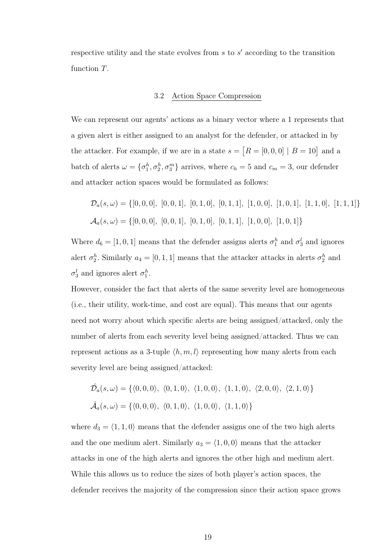respective utility and the state evolves from  $s$  to  $s'$  according to the transition function T.

#### 3.2 Action Space Compression

We can represent our agents' actions as a binary vector where a 1 represents that a given alert is either assigned to an analyst for the defender, or attacked in by the attacker. For example, if we are in a state  $s = [R = [0, 0, 0] | B = 10]$  and a batch of alerts  $\omega = \{\sigma_1^h, \sigma_2^h, \sigma_3^m\}$  arrives, where  $c_h = 5$  and  $c_m = 3$ , our defender and attacker action spaces would be formulated as follows:

$$
\mathcal{D}_a(s,\omega) = \{ [0,0,0], [0,0,1], [0,1,0], [0,1,1], [1,0,0], [1,0,1], [1,1,0], [1,1,1] \}
$$
  

$$
\mathcal{A}_a(s,\omega) = \{ [0,0,0], [0,0,1], [0,1,0], [0,1,1], [1,0,0], [1,0,1] \}
$$

Where  $d_6 = [1, 0, 1]$  means that the defender assigns alerts  $\sigma_1^h$  and  $\sigma_3^l$  and ignores alert  $\sigma_2^h$ . Similarly  $a_4 = [0, 1, 1]$  means that the attacker attacks in alerts  $\sigma_2^h$  and  $\sigma_3^l$  and ignores alert  $\sigma_1^h$ .

However, consider the fact that alerts of the same severity level are homogeneous (i.e., their utility, work-time, and cost are equal). This means that our agents need not worry about which specific alerts are being assigned/attacked, only the number of alerts from each severity level being assigned/attacked. Thus we can represent actions as a 3-tuple  $\langle h, m, l \rangle$  representing how many alerts from each severity level are being assigned/attacked:

$$
\hat{\mathcal{D}}_a(s,\omega) = \{ \langle 0,0,0 \rangle, \langle 0,1,0 \rangle, \langle 1,0,0 \rangle, \langle 1,1,0 \rangle, \langle 2,0,0 \rangle, \langle 2,1,0 \rangle \}
$$
  

$$
\hat{\mathcal{A}}_a(s,\omega) = \{ \langle 0,0,0 \rangle, \langle 0,1,0 \rangle, \langle 1,0,0 \rangle, \langle 1,1,0 \rangle \}
$$

where  $d_3 = \langle 1, 1, 0 \rangle$  means that the defender assigns one of the two high alerts and the one medium alert. Similarly  $a_3 = \langle 1, 0, 0 \rangle$  means that the attacker attacks in one of the high alerts and ignores the other high and medium alert. While this allows us to reduce the sizes of both player's action spaces, the defender receives the majority of the compression since their action space grows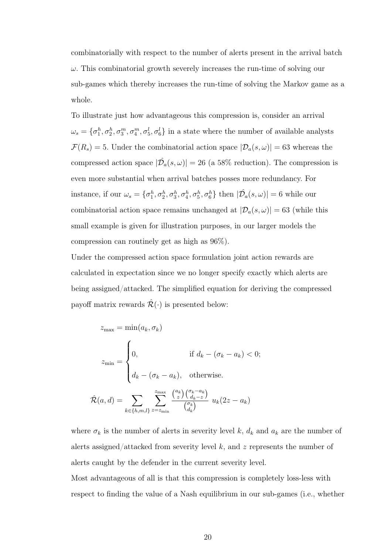combinatorially with respect to the number of alerts present in the arrival batch  $\omega$ . This combinatorial growth severely increases the run-time of solving our sub-games which thereby increases the run-time of solving the Markov game as a whole.

To illustrate just how advantageous this compression is, consider an arrival  $\omega_s = \{\sigma_1^h, \sigma_2^h, \sigma_3^m, \sigma_4^m, \sigma_5^l, \sigma_6^l\}$  in a state where the number of available analysts  $\mathcal{F}(R_s) = 5$ . Under the combinatorial action space  $|\mathcal{D}_a(s,\omega)| = 63$  whereas the compressed action space  $|\hat{\mathcal{D}}_a(s,\omega)| = 26$  (a 58% reduction). The compression is even more substantial when arrival batches posses more redundancy. For instance, if our  $\omega_s = \{\sigma_1^h, \sigma_2^h, \sigma_3^h, \sigma_4^h, \sigma_5^h, \sigma_6^h\}$  then  $|\hat{\mathcal{D}}_a(s, \omega)| = 6$  while our combinatorial action space remains unchanged at  $|\mathcal{D}_a(s,\omega)| = 63$  (while this small example is given for illustration purposes, in our larger models the compression can routinely get as high as 96%).

Under the compressed action space formulation joint action rewards are calculated in expectation since we no longer specify exactly which alerts are being assigned/attacked. The simplified equation for deriving the compressed payoff matrix rewards  $\mathcal{R}(\cdot)$  is presented below:

$$
z_{\max} = \min(a_k, \sigma_k)
$$
  
\n
$$
z_{\min} = \begin{cases} 0, & \text{if } d_k - (\sigma_k - a_k) < 0; \\ d_k - (\sigma_k - a_k), & \text{otherwise.} \end{cases}
$$
  
\n
$$
\hat{\mathcal{R}}(a, d) = \sum_{k \in \{h, m, l\}} \sum_{z = z_{\min}}^{z_{\max}} \frac{\binom{a_k}{z} \binom{\sigma_k - a_k}{d_k - z}}{\binom{\sigma_k}{d_k}} u_k(2z - a_k)
$$

where  $\sigma_k$  is the number of alerts in severity level k,  $d_k$  and  $a_k$  are the number of alerts assigned/attacked from severity level  $k$ , and  $z$  represents the number of alerts caught by the defender in the current severity level.

Most advantageous of all is that this compression is completely loss-less with respect to finding the value of a Nash equilibrium in our sub-games (i.e., whether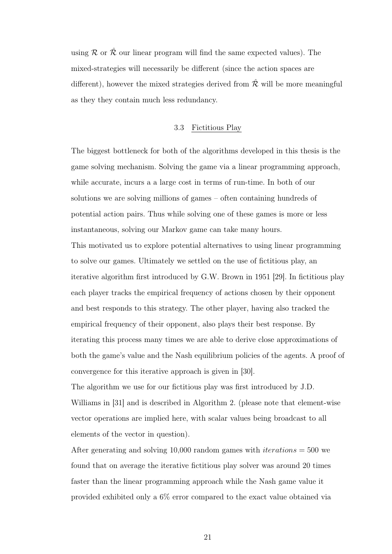using  $\mathcal R$  or  $\hat{\mathcal R}$  our linear program will find the same expected values). The mixed-strategies will necessarily be different (since the action spaces are different), however the mixed strategies derived from  $\hat{\mathcal{R}}$  will be more meaningful as they they contain much less redundancy.

## 3.3 Fictitious Play

The biggest bottleneck for both of the algorithms developed in this thesis is the game solving mechanism. Solving the game via a linear programming approach, while accurate, incurs a a large cost in terms of run-time. In both of our solutions we are solving millions of games – often containing hundreds of potential action pairs. Thus while solving one of these games is more or less instantaneous, solving our Markov game can take many hours.

This motivated us to explore potential alternatives to using linear programming to solve our games. Ultimately we settled on the use of fictitious play, an iterative algorithm first introduced by G.W. Brown in 1951 [29]. In fictitious play each player tracks the empirical frequency of actions chosen by their opponent and best responds to this strategy. The other player, having also tracked the empirical frequency of their opponent, also plays their best response. By iterating this process many times we are able to derive close approximations of both the game's value and the Nash equilibrium policies of the agents. A proof of convergence for this iterative approach is given in [30].

The algorithm we use for our fictitious play was first introduced by J.D. Williams in [31] and is described in Algorithm 2. (please note that element-wise vector operations are implied here, with scalar values being broadcast to all elements of the vector in question).

After generating and solving 10,000 random games with *iterations*  $=$  500 we found that on average the iterative fictitious play solver was around 20 times faster than the linear programming approach while the Nash game value it provided exhibited only a 6% error compared to the exact value obtained via

21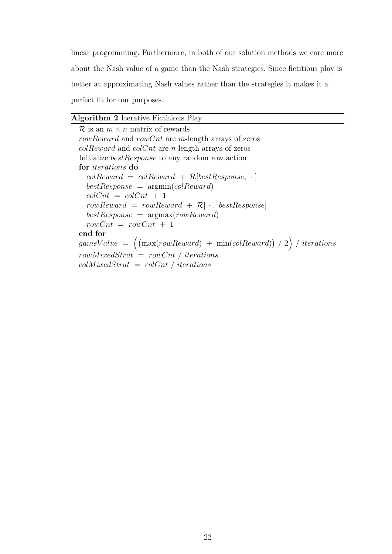linear programming. Furthermore, in both of our solution methods we care more about the Nash value of a game than the Nash strategies. Since fictitious play is better at approximating Nash values rather than the strategies it makes it a perfect fit for our purposes.

## Algorithm 2 Iterative Fictitious Play

 $\mathcal R$  is an  $m \times n$  matrix of rewards rowReward and rowCnt are m-length arrays of zeros  $colReward$  and  $colCnt$  are n-length arrays of zeros Initialize bestResponse to any random row action for iterations do  $colReward = colReward + R[bestResponse, \cdot]$  $bestResponse = argmin(colReward)$  $colCnt = colCnt + 1$  $rowReward = rowReward + R[\cdot, bestResponse]$  $bestResponse = argmax(rowReward)$  $rowCnt = rowCnt + 1$ end for  $gameValue = ($  $(\max(rowReward) + \min(colReward)) / 2) / iterations$  $rowMixedStrat = rowCnt / iterations$  $colMixedStrat = colCnt / iterations$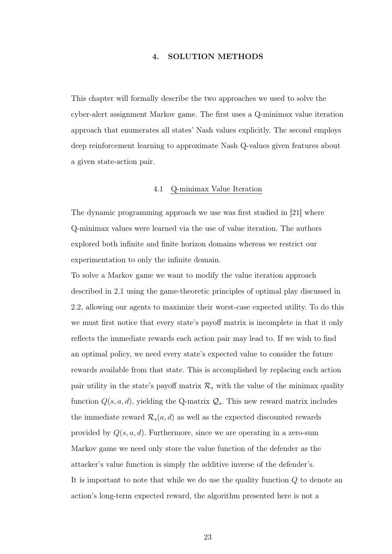## 4. SOLUTION METHODS

This chapter will formally describe the two approaches we used to solve the cyber-alert assignment Markov game. The first uses a Q-minimax value iteration approach that enumerates all states' Nash values explicitly. The second employs deep reinforcement learning to approximate Nash Q-values given features about a given state-action pair.

#### 4.1 Q-minimax Value Iteration

The dynamic programming approach we use was first studied in [21] where Q-minimax values were learned via the use of value iteration. The authors explored both infinite and finite horizon domains whereas we restrict our experimentation to only the infinite domain.

To solve a Markov game we want to modify the value iteration approach described in 2.1 using the game-theoretic principles of optimal play discussed in 2.2, allowing our agents to maximize their worst-case expected utility. To do this we must first notice that every state's payoff matrix is incomplete in that it only reflects the immediate rewards each action pair may lead to. If we wish to find an optimal policy, we need every state's expected value to consider the future rewards available from that state. This is accomplished by replacing each action pair utility in the state's payoff matrix  $\mathcal{R}_s$  with the value of the minimax quality function  $Q(s, a, d)$ , yielding the Q-matrix  $Q_s$ . This new reward matrix includes the immediate reward  $\mathcal{R}_s(a, d)$  as well as the expected discounted rewards provided by  $Q(s, a, d)$ . Furthermore, since we are operating in a zero-sum Markov game we need only store the value function of the defender as the attacker's value function is simply the additive inverse of the defender's. It is important to note that while we do use the quality function  $Q$  to denote an action's long-term expected reward, the algorithm presented here is not a

23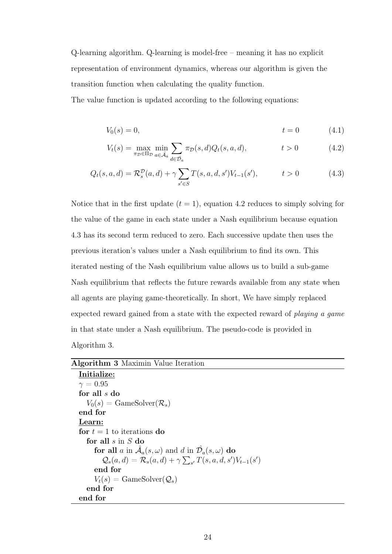Q-learning algorithm. Q-learning is model-free – meaning it has no explicit representation of environment dynamics, whereas our algorithm is given the transition function when calculating the quality function.

The value function is updated according to the following equations:

$$
V_0(s) = 0, \t t = 0 \t (4.1)
$$

$$
V_t(s) = \max_{\pi_D \in \Pi_D} \min_{a \in \hat{\mathcal{A}}_a} \sum_{d \in \hat{\mathcal{D}}_a} \pi_D(s, d) Q_t(s, a, d), \qquad t > 0 \qquad (4.2)
$$

$$
Q_t(s, a, d) = \mathcal{R}_s^{\mathcal{D}}(a, d) + \gamma \sum_{s' \in S} T(s, a, d, s') V_{t-1}(s'), \qquad t > 0
$$
 (4.3)

Notice that in the first update  $(t = 1)$ , equation 4.2 reduces to simply solving for the value of the game in each state under a Nash equilibrium because equation 4.3 has its second term reduced to zero. Each successive update then uses the previous iteration's values under a Nash equilibrium to find its own. This iterated nesting of the Nash equilibrium value allows us to build a sub-game Nash equilibrium that reflects the future rewards available from any state when all agents are playing game-theoretically. In short, We have simply replaced expected reward gained from a state with the expected reward of playing a game in that state under a Nash equilibrium. The pseudo-code is provided in Algorithm 3.

#### Algorithm 3 Maximin Value Iteration

| Initialize:                                                                          |
|--------------------------------------------------------------------------------------|
| $\gamma=0.95$                                                                        |
| for all $s$ do                                                                       |
| $V_0(s) = \text{GameSolver}(\mathcal{R}_s)$                                          |
| end for                                                                              |
| Learn:                                                                               |
| for $t = 1$ to iterations do                                                         |
| for all $s$ in $S$ do                                                                |
| for all a in $\mathcal{A}_a(s,\omega)$ and d in $\mathcal{D}_a(s,\omega)$ do         |
| $\mathcal{Q}_s(a,d) = \mathcal{R}_s(a,d) + \gamma \sum_{s'} T(s,a,d,s') V_{t-1}(s')$ |
| end for                                                                              |
| $V_t(s) = \text{GameSolver}(\mathcal{Q}_s)$                                          |
| end for                                                                              |
| end for                                                                              |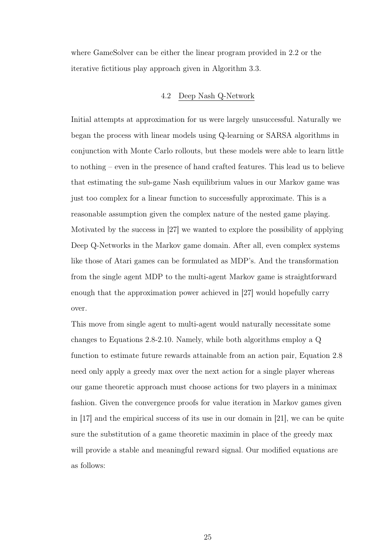where GameSolver can be either the linear program provided in 2.2 or the iterative fictitious play approach given in Algorithm 3.3.

## 4.2 Deep Nash Q-Network

Initial attempts at approximation for us were largely unsuccessful. Naturally we began the process with linear models using Q-learning or SARSA algorithms in conjunction with Monte Carlo rollouts, but these models were able to learn little to nothing – even in the presence of hand crafted features. This lead us to believe that estimating the sub-game Nash equilibrium values in our Markov game was just too complex for a linear function to successfully approximate. This is a reasonable assumption given the complex nature of the nested game playing. Motivated by the success in [27] we wanted to explore the possibility of applying Deep Q-Networks in the Markov game domain. After all, even complex systems like those of Atari games can be formulated as MDP's. And the transformation from the single agent MDP to the multi-agent Markov game is straightforward enough that the approximation power achieved in [27] would hopefully carry over.

This move from single agent to multi-agent would naturally necessitate some changes to Equations 2.8-2.10. Namely, while both algorithms employ a Q function to estimate future rewards attainable from an action pair, Equation 2.8 need only apply a greedy max over the next action for a single player whereas our game theoretic approach must choose actions for two players in a minimax fashion. Given the convergence proofs for value iteration in Markov games given in [17] and the empirical success of its use in our domain in [21], we can be quite sure the substitution of a game theoretic maximin in place of the greedy max will provide a stable and meaningful reward signal. Our modified equations are as follows: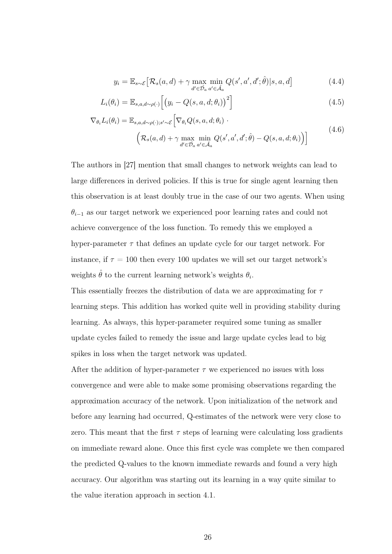$$
y_i = \mathbb{E}_{s \sim \mathcal{E}} \left[ \mathcal{R}_s(a, d) + \gamma \max_{d' \in \hat{\mathcal{D}}_a} \min_{a' \in \hat{\mathcal{A}}_a} Q(s', a', d'; \hat{\theta}) | s, a, d \right]
$$
(4.4)

$$
L_i(\theta_i) = \mathbb{E}_{s,a,d \sim \rho(\cdot)} \left[ \left( y_i - Q(s,a,d;\theta_i) \right)^2 \right]
$$
\n(4.5)

$$
\nabla_{\theta_i} L_i(\theta_i) = \mathbb{E}_{s,a,d \sim \rho(\cdot);s' \sim \mathcal{E}} \Big[ \nabla_{\theta_i} Q(s,a,d;\theta_i) \cdot \left( \mathcal{R}_s(a,d) + \gamma \max_{d' \in \mathcal{D}_a} \min_{a' \in \mathcal{A}_a} Q(s',a',d';\hat{\theta}) - Q(s,a,d;\theta_i) \right) \Big] \tag{4.6}
$$

The authors in [27] mention that small changes to network weights can lead to large differences in derived policies. If this is true for single agent learning then this observation is at least doubly true in the case of our two agents. When using  $\theta_{i-1}$  as our target network we experienced poor learning rates and could not achieve convergence of the loss function. To remedy this we employed a hyper-parameter  $\tau$  that defines an update cycle for our target network. For instance, if  $\tau = 100$  then every 100 updates we will set our target network's weights  $\hat{\theta}$  to the current learning network's weights  $\theta_i$ .

This essentially freezes the distribution of data we are approximating for  $\tau$ learning steps. This addition has worked quite well in providing stability during learning. As always, this hyper-parameter required some tuning as smaller update cycles failed to remedy the issue and large update cycles lead to big spikes in loss when the target network was updated.

After the addition of hyper-parameter  $\tau$  we experienced no issues with loss convergence and were able to make some promising observations regarding the approximation accuracy of the network. Upon initialization of the network and before any learning had occurred, Q-estimates of the network were very close to zero. This meant that the first  $\tau$  steps of learning were calculating loss gradients on immediate reward alone. Once this first cycle was complete we then compared the predicted Q-values to the known immediate rewards and found a very high accuracy. Our algorithm was starting out its learning in a way quite similar to the value iteration approach in section 4.1.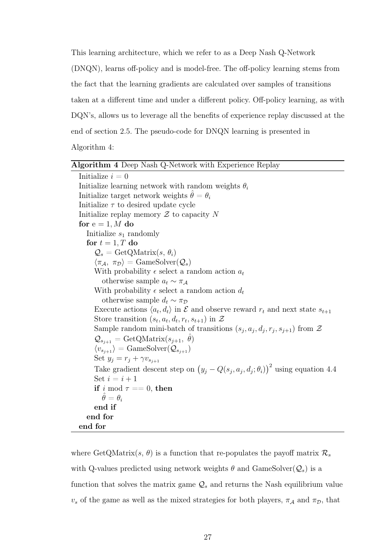This learning architecture, which we refer to as a Deep Nash Q-Network (DNQN), learns off-policy and is model-free. The off-policy learning stems from the fact that the learning gradients are calculated over samples of transitions taken at a different time and under a different policy. Off-policy learning, as with DQN's, allows us to leverage all the benefits of experience replay discussed at the end of section 2.5. The pseudo-code for DNQN learning is presented in

Algorithm 4:

| Algorithm 4 Deep Nash Q-Network with Experience Replay                                                       |
|--------------------------------------------------------------------------------------------------------------|
| Initialize $i=0$                                                                                             |
| Initialize learning network with random weights $\theta_i$                                                   |
| Initialize target network weights $\hat{\theta} = \theta_i$                                                  |
| Initialize $\tau$ to desired update cycle                                                                    |
| Initialize replay memory $\mathcal Z$ to capacity N                                                          |
| for $e = 1, M$ do                                                                                            |
| Initialize $s_1$ randomly                                                                                    |
| for $t = 1, T$ do                                                                                            |
| $\mathcal{Q}_s = \text{GetQMatrix}(s, \theta_i)$                                                             |
| $\langle \pi_{\mathcal{A}}, \pi_{\mathcal{D}} \rangle = \text{GameSolver}(\mathcal{Q}_s)$                    |
| With probability $\epsilon$ select a random action $a_t$                                                     |
| otherwise sample $a_t \sim \pi_A$                                                                            |
| With probability $\epsilon$ select a random action $d_t$                                                     |
| otherwise sample $d_t \sim \pi_{\mathcal{D}}$                                                                |
| Execute actions $\langle a_t, d_t \rangle$ in $\mathcal E$ and observe reward $r_t$ and next state $s_{t+1}$ |
| Store transition $(s_t, a_t, d_t, r_t, s_{t+1})$ in $\mathcal{Z}$                                            |
| Sample random mini-batch of transitions $(s_j, a_j, d_j, r_j, s_{j+1})$ from $\mathcal Z$                    |
| $\mathcal{Q}_{s_{i+1}} = \text{GetQMatrix}(s_{j+1}, \theta)$                                                 |
| $\langle v_{s_{i+1}} \rangle = \text{GameSolver}(\mathcal{Q}_{s_{i+1}})$                                     |
| Set $y_i = r_i + \gamma v_{s_{i+1}}$                                                                         |
| Take gradient descent step on $(y_j - Q(s_j, a_j, d_j; \theta_i))^2$ using equation 4.4                      |
| Set $i=i+1$                                                                                                  |
| if i mod $\tau == 0$ , then                                                                                  |
| $\hat{\theta} = \theta_i$                                                                                    |
| end if                                                                                                       |
| end for                                                                                                      |
| end for                                                                                                      |

where GetQMatrix $(s, \theta)$  is a function that re-populates the payoff matrix  $\mathcal{R}_s$ with Q-values predicted using network weights  $\theta$  and GameSolver( $Q_s$ ) is a function that solves the matrix game  $\mathcal{Q}_s$  and returns the Nash equilibrium value  $v_s$  of the game as well as the mixed strategies for both players,  $\pi_A$  and  $\pi_D$ , that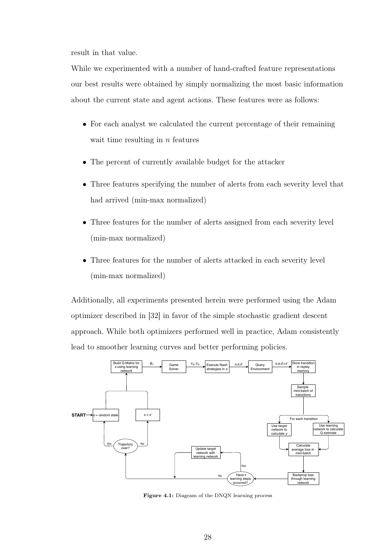result in that value.

While we experimented with a number of hand-crafted feature representations our best results were obtained by simply normalizing the most basic information about the current state and agent actions. These features were as follows:

- For each analyst we calculated the current percentage of their remaining wait time resulting in  $n$  features
- The percent of currently available budget for the attacker
- Three features specifying the number of alerts from each severity level that had arrived (min-max normalized)
- Three features for the number of alerts assigned from each severity level (min-max normalized)
- Three features for the number of alerts attacked in each severity level (min-max normalized)

Additionally, all experiments presented herein were performed using the Adam optimizer described in [32] in favor of the simple stochastic gradient descent approach. While both optimizers performed well in practice, Adam consistently lead to smoother learning curves and better performing policies.



Figure 4.1: Diagram of the DNQN learning process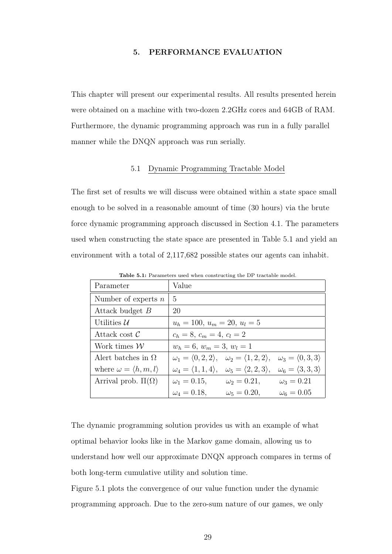### 5. PERFORMANCE EVALUATION

This chapter will present our experimental results. All results presented herein were obtained on a machine with two-dozen 2.2GHz cores and 64GB of RAM. Furthermore, the dynamic programming approach was run in a fully parallel manner while the DNQN approach was run serially.

### 5.1 Dynamic Programming Tractable Model

The first set of results we will discuss were obtained within a state space small enough to be solved in a reasonable amount of time (30 hours) via the brute force dynamic programming approach discussed in Section 4.1. The parameters used when constructing the state space are presented in Table 5.1 and yield an environment with a total of 2,117,682 possible states our agents can inhabit.

| Parameter                                | Value                                                                           |                                                                                 |                                      |
|------------------------------------------|---------------------------------------------------------------------------------|---------------------------------------------------------------------------------|--------------------------------------|
| Number of experts $n$                    | 5                                                                               |                                                                                 |                                      |
| Attack budget B                          | 20                                                                              |                                                                                 |                                      |
| Utilities $\mathcal{U}$                  | $u_h = 100, u_m = 20, u_l = 5$                                                  |                                                                                 |                                      |
| Attack cost $\mathcal C$                 | $c_h = 8, c_m = 4, c_l = 2$                                                     |                                                                                 |                                      |
| Work times $\mathcal W$                  | $w_h = 6, w_m = 3, w_l = 1$                                                     |                                                                                 |                                      |
| A lert batches in $\Omega$               | $\omega_1 = \langle 0, 2, 2 \rangle, \quad \omega_2 = \langle 1, 2, 2 \rangle,$ |                                                                                 | $\omega_3 = \langle 0, 3, 3 \rangle$ |
| where $\omega = \langle h, m, l \rangle$ |                                                                                 | $\omega_4 = \langle 1, 1, 4 \rangle, \quad \omega_5 = \langle 2, 2, 3 \rangle,$ | $\omega_6 = \langle 3, 3, 3 \rangle$ |
| Arrival prob. $\Pi(\Omega)$              | $\omega_1 = 0.15$ ,                                                             | $\omega_2 = 0.21,$                                                              | $\omega_3 = 0.21$                    |
|                                          | $\omega_4 = 0.18$ ,                                                             | $\omega_5 = 0.20,$                                                              | $\omega_6 = 0.05$                    |

Table 5.1: Parameters used when constructing the DP tractable model.

The dynamic programming solution provides us with an example of what optimal behavior looks like in the Markov game domain, allowing us to understand how well our approximate DNQN approach compares in terms of both long-term cumulative utility and solution time.

Figure 5.1 plots the convergence of our value function under the dynamic programming approach. Due to the zero-sum nature of our games, we only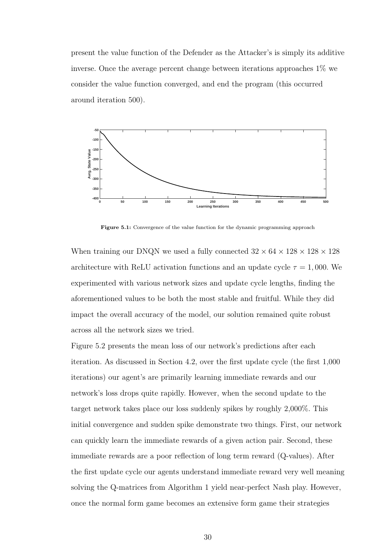present the value function of the Defender as the Attacker's is simply its additive inverse. Once the average percent change between iterations approaches 1% we consider the value function converged, and end the program (this occurred around iteration 500).



Figure 5.1: Convergence of the value function for the dynamic programming approach

When training our DNQN we used a fully connected  $32 \times 64 \times 128 \times 128 \times 128$ architecture with ReLU activation functions and an update cycle  $\tau = 1,000$ . We experimented with various network sizes and update cycle lengths, finding the aforementioned values to be both the most stable and fruitful. While they did impact the overall accuracy of the model, our solution remained quite robust across all the network sizes we tried.

Figure 5.2 presents the mean loss of our network's predictions after each iteration. As discussed in Section 4.2, over the first update cycle (the first 1,000 iterations) our agent's are primarily learning immediate rewards and our network's loss drops quite rapidly. However, when the second update to the target network takes place our loss suddenly spikes by roughly 2,000%. This initial convergence and sudden spike demonstrate two things. First, our network can quickly learn the immediate rewards of a given action pair. Second, these immediate rewards are a poor reflection of long term reward (Q-values). After the first update cycle our agents understand immediate reward very well meaning solving the Q-matrices from Algorithm 1 yield near-perfect Nash play. However, once the normal form game becomes an extensive form game their strategies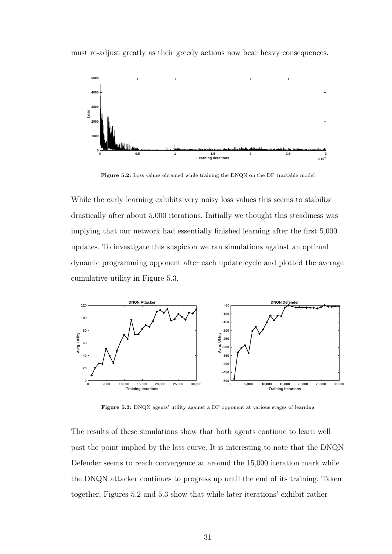must re-adjust greatly as their greedy actions now bear heavy consequences.



Figure 5.2: Loss values obtained while training the DNQN on the DP tractable model

While the early learning exhibits very noisy loss values this seems to stabilize drastically after about 5,000 iterations. Initially we thought this steadiness was implying that our network had essentially finished learning after the first 5,000 updates. To investigate this suspicion we ran simulations against an optimal dynamic programming opponent after each update cycle and plotted the average cumulative utility in Figure 5.3.



Figure 5.3: DNQN agents' utility against a DP opponent at various stages of learning

The results of these simulations show that both agents continue to learn well past the point implied by the loss curve. It is interesting to note that the DNQN Defender seems to reach convergence at around the 15,000 iteration mark while the DNQN attacker continues to progress up until the end of its training. Taken together, Figures 5.2 and 5.3 show that while later iterations' exhibit rather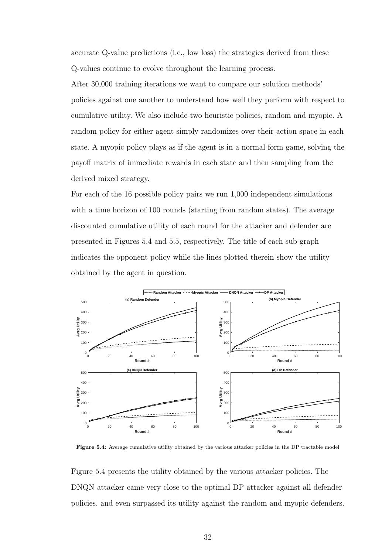accurate Q-value predictions (i.e., low loss) the strategies derived from these Q-values continue to evolve throughout the learning process.

After 30,000 training iterations we want to compare our solution methods' policies against one another to understand how well they perform with respect to cumulative utility. We also include two heuristic policies, random and myopic. A random policy for either agent simply randomizes over their action space in each state. A myopic policy plays as if the agent is in a normal form game, solving the payoff matrix of immediate rewards in each state and then sampling from the derived mixed strategy.

For each of the 16 possible policy pairs we run 1,000 independent simulations with a time horizon of 100 rounds (starting from random states). The average discounted cumulative utility of each round for the attacker and defender are presented in Figures 5.4 and 5.5, respectively. The title of each sub-graph indicates the opponent policy while the lines plotted therein show the utility obtained by the agent in question.



Figure 5.4: Average cumulative utility obtained by the various attacker policies in the DP tractable model

Figure 5.4 presents the utility obtained by the various attacker policies. The DNQN attacker came very close to the optimal DP attacker against all defender policies, and even surpassed its utility against the random and myopic defenders.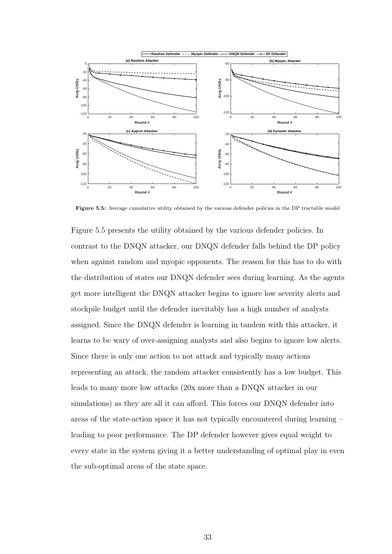

Figure 5.5: Average cumulative utility obtained by the various defender policies in the DP tractable model

Figure 5.5 presents the utility obtained by the various defender policies. In contrast to the DNQN attacker, our DNQN defender falls behind the DP policy when against random and myopic opponents. The reason for this has to do with the distribution of states our DNQN defender sees during learning. As the agents get more intelligent the DNQN attacker begins to ignore low severity alerts and stockpile budget until the defender inevitably has a high number of analysts assigned. Since the DNQN defender is learning in tandem with this attacker, it learns to be wary of over-assigning analysts and also begins to ignore low alerts. Since there is only one action to not attack and typically many actions representing an attack, the random attacker consistently has a low budget. This leads to many more low attacks (20x more than a DNQN attacker in our simulations) as they are all it can afford. This forces our DNQN defender into areas of the state-action space it has not typically encountered during learning – leading to poor performance. The DP defender however gives equal weight to every state in the system giving it a better understanding of optimal play in even the sub-optimal areas of the state space.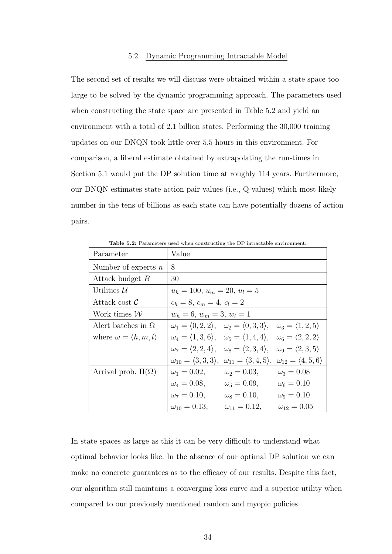### 5.2 Dynamic Programming Intractable Model

The second set of results we will discuss were obtained within a state space too large to be solved by the dynamic programming approach. The parameters used when constructing the state space are presented in Table 5.2 and yield an environment with a total of 2.1 billion states. Performing the 30,000 training updates on our DNQN took little over 5.5 hours in this environment. For comparison, a liberal estimate obtained by extrapolating the run-times in Section 5.1 would put the DP solution time at roughly 114 years. Furthermore, our DNQN estimates state-action pair values (i.e., Q-values) which most likely number in the tens of billions as each state can have potentially dozens of action pairs.

| Parameter                                | Value                                                                                                                     |
|------------------------------------------|---------------------------------------------------------------------------------------------------------------------------|
| Number of experts $n$                    | 8                                                                                                                         |
| Attack budget B                          | 30                                                                                                                        |
| Utilities $\mathcal{U}$                  | $u_h = 100, u_m = 20, u_l = 5$                                                                                            |
| Attack cost $\mathcal C$                 | $c_h = 8, c_m = 4, c_l = 2$                                                                                               |
| Work times $\mathcal W$                  | $w_h = 6, w_m = 3, w_l = 1$                                                                                               |
| Alert batches in $\Omega$                | $\omega_1 = \langle 0, 2, 2 \rangle$ , $\omega_2 = \langle 0, 3, 3 \rangle$ , $\omega_3 = \langle 1, 2, 5 \rangle$        |
| where $\omega = \langle h, m, l \rangle$ | $\omega_4 = \langle 1, 3, 6 \rangle, \quad \omega_5 = \langle 1, 4, 4 \rangle, \quad \omega_6 = \langle 2, 2, 2 \rangle$  |
|                                          | $\omega_7 = \langle 2, 2, 4 \rangle, \quad \omega_8 = \langle 2, 3, 4 \rangle, \quad \omega_9 = \langle 2, 3, 5 \rangle$  |
|                                          | $\omega_{10} = \langle 3, 3, 3 \rangle, \ \omega_{11} = \langle 3, 4, 5 \rangle, \ \omega_{12} = \langle 4, 5, 6 \rangle$ |
| Arrival prob. $\Pi(\Omega)$              | $\omega_1 = 0.02, \qquad \omega_2 = 0.03,$<br>$\omega_3 = 0.08$                                                           |
|                                          | $\omega_4 = 0.08, \qquad \omega_5 = 0.09, \qquad \omega_6 = 0.10$                                                         |
|                                          | $\omega_7 = 0.10,$<br>$\omega_8 = 0.10,$<br>$\omega_9 = 0.10$                                                             |
|                                          | $\omega_{10} = 0.13, \qquad \omega_{11} = 0.12,$<br>$\omega_{12} = 0.05$                                                  |

Table 5.2: Parameters used when constructing the DP intractable environment.

In state spaces as large as this it can be very difficult to understand what optimal behavior looks like. In the absence of our optimal DP solution we can make no concrete guarantees as to the efficacy of our results. Despite this fact, our algorithm still maintains a converging loss curve and a superior utility when compared to our previously mentioned random and myopic policies.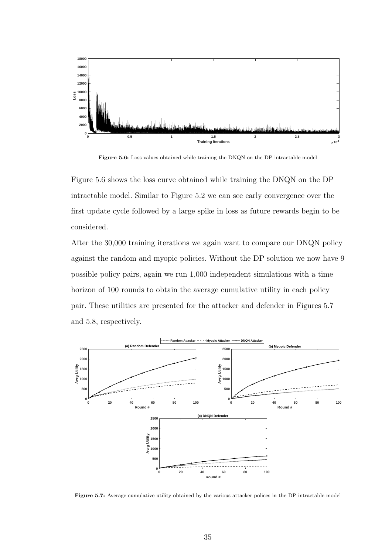

Figure 5.6: Loss values obtained while training the DNQN on the DP intractable model

Figure 5.6 shows the loss curve obtained while training the DNQN on the DP intractable model. Similar to Figure 5.2 we can see early convergence over the first update cycle followed by a large spike in loss as future rewards begin to be considered.

After the 30,000 training iterations we again want to compare our DNQN policy against the random and myopic policies. Without the DP solution we now have 9 possible policy pairs, again we run 1,000 independent simulations with a time horizon of 100 rounds to obtain the average cumulative utility in each policy pair. These utilities are presented for the attacker and defender in Figures 5.7 and 5.8, respectively.



Figure 5.7: Average cumulative utility obtained by the various attacker polices in the DP intractable model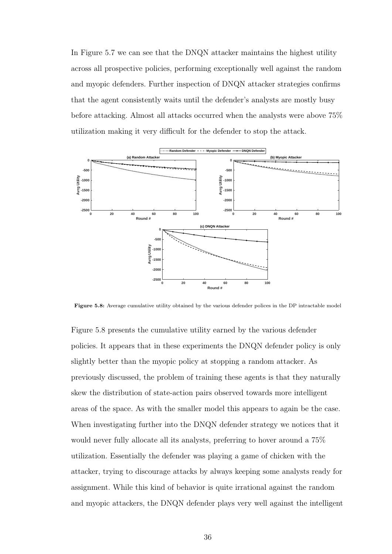In Figure 5.7 we can see that the DNQN attacker maintains the highest utility across all prospective policies, performing exceptionally well against the random and myopic defenders. Further inspection of DNQN attacker strategies confirms that the agent consistently waits until the defender's analysts are mostly busy before attacking. Almost all attacks occurred when the analysts were above 75% utilization making it very difficult for the defender to stop the attack.



Figure 5.8: Average cumulative utility obtained by the various defender polices in the DP intractable model

Figure 5.8 presents the cumulative utility earned by the various defender policies. It appears that in these experiments the DNQN defender policy is only slightly better than the myopic policy at stopping a random attacker. As previously discussed, the problem of training these agents is that they naturally skew the distribution of state-action pairs observed towards more intelligent areas of the space. As with the smaller model this appears to again be the case. When investigating further into the DNQN defender strategy we notices that it would never fully allocate all its analysts, preferring to hover around a 75% utilization. Essentially the defender was playing a game of chicken with the attacker, trying to discourage attacks by always keeping some analysts ready for assignment. While this kind of behavior is quite irrational against the random and myopic attackers, the DNQN defender plays very well against the intelligent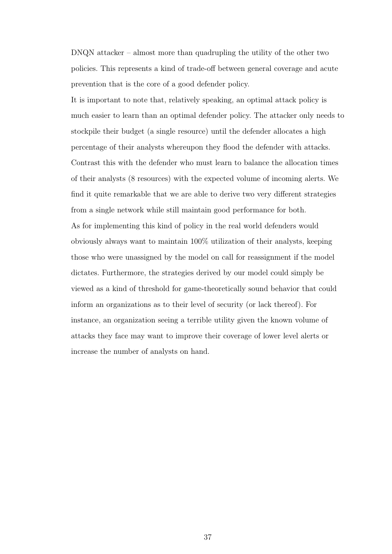DNQN attacker – almost more than quadrupling the utility of the other two policies. This represents a kind of trade-off between general coverage and acute prevention that is the core of a good defender policy.

It is important to note that, relatively speaking, an optimal attack policy is much easier to learn than an optimal defender policy. The attacker only needs to stockpile their budget (a single resource) until the defender allocates a high percentage of their analysts whereupon they flood the defender with attacks. Contrast this with the defender who must learn to balance the allocation times of their analysts (8 resources) with the expected volume of incoming alerts. We find it quite remarkable that we are able to derive two very different strategies from a single network while still maintain good performance for both. As for implementing this kind of policy in the real world defenders would obviously always want to maintain 100% utilization of their analysts, keeping those who were unassigned by the model on call for reassignment if the model dictates. Furthermore, the strategies derived by our model could simply be viewed as a kind of threshold for game-theoretically sound behavior that could inform an organizations as to their level of security (or lack thereof). For instance, an organization seeing a terrible utility given the known volume of attacks they face may want to improve their coverage of lower level alerts or increase the number of analysts on hand.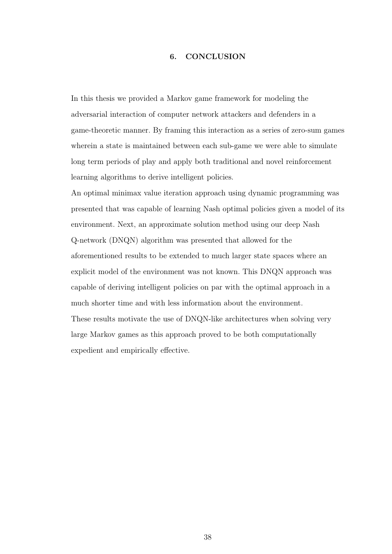#### 6. CONCLUSION

In this thesis we provided a Markov game framework for modeling the adversarial interaction of computer network attackers and defenders in a game-theoretic manner. By framing this interaction as a series of zero-sum games wherein a state is maintained between each sub-game we were able to simulate long term periods of play and apply both traditional and novel reinforcement learning algorithms to derive intelligent policies.

An optimal minimax value iteration approach using dynamic programming was presented that was capable of learning Nash optimal policies given a model of its environment. Next, an approximate solution method using our deep Nash Q-network (DNQN) algorithm was presented that allowed for the aforementioned results to be extended to much larger state spaces where an explicit model of the environment was not known. This DNQN approach was capable of deriving intelligent policies on par with the optimal approach in a much shorter time and with less information about the environment. These results motivate the use of DNQN-like architectures when solving very large Markov games as this approach proved to be both computationally expedient and empirically effective.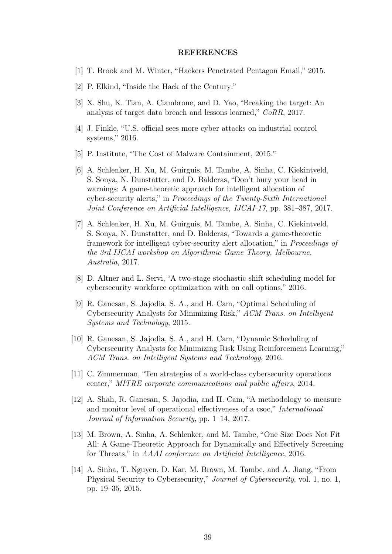#### REFERENCES

- [1] T. Brook and M. Winter, "Hackers Penetrated Pentagon Email," 2015.
- [2] P. Elkind, "Inside the Hack of the Century."
- [3] X. Shu, K. Tian, A. Ciambrone, and D. Yao, "Breaking the target: An analysis of target data breach and lessons learned," CoRR, 2017.
- [4] J. Finkle, "U.S. official sees more cyber attacks on industrial control systems," 2016.
- [5] P. Institute, "The Cost of Malware Containment, 2015."
- [6] A. Schlenker, H. Xu, M. Guirguis, M. Tambe, A. Sinha, C. Kiekintveld, S. Sonya, N. Dunstatter, and D. Balderas, "Don't bury your head in warnings: A game-theoretic approach for intelligent allocation of cyber-security alerts," in Proceedings of the Twenty-Sixth International Joint Conference on Artificial Intelligence, IJCAI-17, pp. 381–387, 2017.
- [7] A. Schlenker, H. Xu, M. Guirguis, M. Tambe, A. Sinha, C. Kiekintveld, S. Sonya, N. Dunstatter, and D. Balderas, "Towards a game-theoretic framework for intelligent cyber-security alert allocation," in Proceedings of the 3rd IJCAI workshop on Algorithmic Game Theory, Melbourne, Australia, 2017.
- [8] D. Altner and L. Servi, "A two-stage stochastic shift scheduling model for cybersecurity workforce optimization with on call options," 2016.
- [9] R. Ganesan, S. Jajodia, S. A., and H. Cam, "Optimal Scheduling of Cybersecurity Analysts for Minimizing Risk," ACM Trans. on Intelligent Systems and Technology, 2015.
- [10] R. Ganesan, S. Jajodia, S. A., and H. Cam, "Dynamic Scheduling of Cybersecurity Analysts for Minimizing Risk Using Reinforcement Learning," ACM Trans. on Intelligent Systems and Technology, 2016.
- [11] C. Zimmerman, "Ten strategies of a world-class cybersecurity operations center," MITRE corporate communications and public affairs, 2014.
- [12] A. Shah, R. Ganesan, S. Jajodia, and H. Cam, "A methodology to measure and monitor level of operational effectiveness of a csoc," International Journal of Information Security, pp. 1–14, 2017.
- [13] M. Brown, A. Sinha, A. Schlenker, and M. Tambe, "One Size Does Not Fit All: A Game-Theoretic Approach for Dynamically and Effectively Screening for Threats," in AAAI conference on Artificial Intelligence, 2016.
- [14] A. Sinha, T. Nguyen, D. Kar, M. Brown, M. Tambe, and A. Jiang, "From Physical Security to Cybersecurity," Journal of Cybersecurity, vol. 1, no. 1, pp. 19–35, 2015.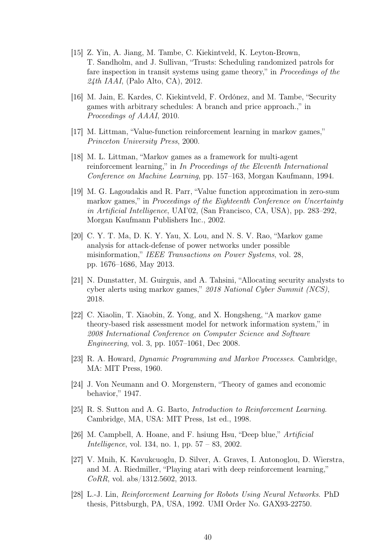- [15] Z. Yin, A. Jiang, M. Tambe, C. Kiekintveld, K. Leyton-Brown, T. Sandholm, and J. Sullivan, "Trusts: Scheduling randomized patrols for fare inspection in transit systems using game theory," in Proceedings of the  $24th$  *IAAI*, (Palo Alto, CA), 2012.
- [16] M. Jain, E. Kardes, C. Kiekintveld, F. Ordónez, and M. Tambe, "Security games with arbitrary schedules: A branch and price approach.," in Proceedings of AAAI, 2010.
- [17] M. Littman, "Value-function reinforcement learning in markov games," Princeton University Press, 2000.
- [18] M. L. Littman, "Markov games as a framework for multi-agent reinforcement learning," in In Proceedings of the Eleventh International Conference on Machine Learning, pp. 157–163, Morgan Kaufmann, 1994.
- [19] M. G. Lagoudakis and R. Parr, "Value function approximation in zero-sum markov games," in *Proceedings of the Eighteenth Conference on Uncertainty* in Artificial Intelligence, UAI'02, (San Francisco, CA, USA), pp. 283–292, Morgan Kaufmann Publishers Inc., 2002.
- [20] C. Y. T. Ma, D. K. Y. Yau, X. Lou, and N. S. V. Rao, "Markov game analysis for attack-defense of power networks under possible misinformation," IEEE Transactions on Power Systems, vol. 28, pp. 1676–1686, May 2013.
- [21] N. Dunstatter, M. Guirguis, and A. Tahsini, "Allocating security analysts to cyber alerts using markov games," 2018 National Cyber Summit (NCS), 2018.
- [22] C. Xiaolin, T. Xiaobin, Z. Yong, and X. Hongsheng, "A markov game theory-based risk assessment model for network information system," in 2008 International Conference on Computer Science and Software Engineering, vol. 3, pp. 1057–1061, Dec 2008.
- [23] R. A. Howard, Dynamic Programming and Markov Processes. Cambridge, MA: MIT Press, 1960.
- [24] J. Von Neumann and O. Morgenstern, "Theory of games and economic behavior," 1947.
- [25] R. S. Sutton and A. G. Barto, Introduction to Reinforcement Learning. Cambridge, MA, USA: MIT Press, 1st ed., 1998.
- [26] M. Campbell, A. Hoane, and F. hsiung Hsu, "Deep blue," Artificial Intelligence, vol. 134, no. 1, pp. 57 – 83, 2002.
- [27] V. Mnih, K. Kavukcuoglu, D. Silver, A. Graves, I. Antonoglou, D. Wierstra, and M. A. Riedmiller, "Playing atari with deep reinforcement learning," CoRR, vol. abs/1312.5602, 2013.
- [28] L.-J. Lin, Reinforcement Learning for Robots Using Neural Networks. PhD thesis, Pittsburgh, PA, USA, 1992. UMI Order No. GAX93-22750.